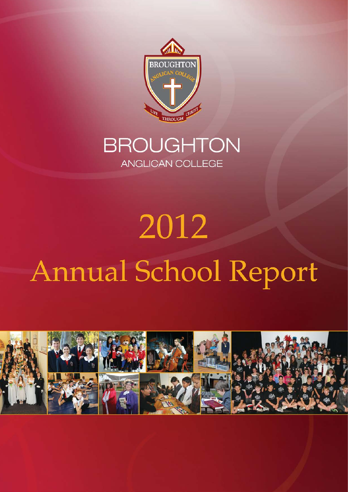

# **BROUGHTON** ANGLICAN COLLEGE

# 2012 Annual School Report

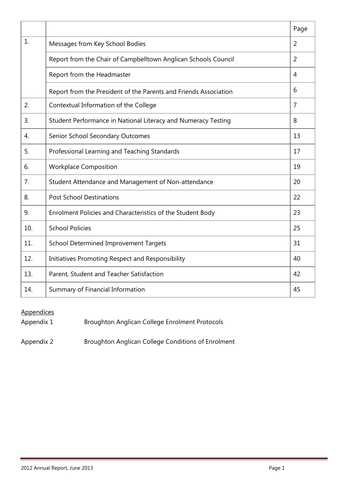|     |                                                                  | Page           |
|-----|------------------------------------------------------------------|----------------|
| 1.  | Messages from Key School Bodies                                  | $\overline{2}$ |
|     | Report from the Chair of Campbelltown Anglican Schools Council   | $\overline{2}$ |
|     | Report from the Headmaster                                       | $\overline{4}$ |
|     | Report from the President of the Parents and Friends Association | 6              |
| 2.  | Contextual Information of the College                            | $\overline{7}$ |
| 3.  | Student Performance in National Literacy and Numeracy Testing    | 8              |
| 4.  | Senior School Secondary Outcomes                                 | 13             |
| 5.  | Professional Learning and Teaching Standards                     | 17             |
| 6.  | <b>Workplace Composition</b>                                     | 19             |
| 7.  | Student Attendance and Management of Non-attendance              | 20             |
| 8.  | <b>Post School Destinations</b>                                  | 22             |
| 9.  | Enrolment Policies and Characteristics of the Student Body       | 23             |
| 10. | <b>School Policies</b>                                           | 25             |
| 11. | <b>School Determined Improvement Targets</b>                     | 31             |
| 12. | Initiatives Promoting Respect and Responsibility                 | 40             |
| 13. | Parent, Student and Teacher Satisfaction                         | 42             |
| 14. | Summary of Financial Information                                 | 45             |

# **Appendices**

Appendix 1 Broughton Anglican College Enrolment Protocols

Appendix 2 Broughton Anglican College Conditions of Enrolment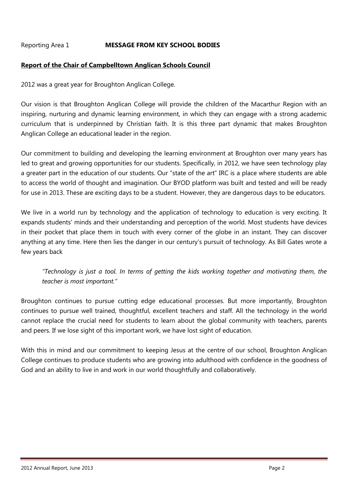#### Reporting Area 1 **MESSAGE FROM KEY SCHOOL BODIES**

#### **Report of the Chair of Campbelltown Anglican Schools Council**

2012 was a great year for Broughton Anglican College.

Our vision is that Broughton Anglican College will provide the children of the Macarthur Region with an inspiring, nurturing and dynamic learning environment, in which they can engage with a strong academic curriculum that is underpinned by Christian faith. It is this three part dynamic that makes Broughton Anglican College an educational leader in the region.

Our commitment to building and developing the learning environment at Broughton over many years has led to great and growing opportunities for our students. Specifically, in 2012, we have seen technology play a greater part in the education of our students. Our "state of the art" IRC is a place where students are able to access the world of thought and imagination. Our BYOD platform was built and tested and will be ready for use in 2013. These are exciting days to be a student. However, they are dangerous days to be educators.

We live in a world run by technology and the application of technology to education is very exciting. It expands students' minds and their understanding and perception of the world. Most students have devices in their pocket that place them in touch with every corner of the globe in an instant. They can discover anything at any time. Here then lies the danger in our century's pursuit of technology. As Bill Gates wrote a few years back

*"Technology is just a tool. In terms of getting the kids working together and motivating them, the teacher is most important."*

Broughton continues to pursue cutting edge educational processes. But more importantly, Broughton continues to pursue well trained, thoughtful, excellent teachers and staff. All the technology in the world cannot replace the crucial need for students to learn about the global community with teachers, parents and peers. If we lose sight of this important work, we have lost sight of education.

With this in mind and our commitment to keeping Jesus at the centre of our school, Broughton Anglican College continues to produce students who are growing into adulthood with confidence in the goodness of God and an ability to live in and work in our world thoughtfully and collaboratively.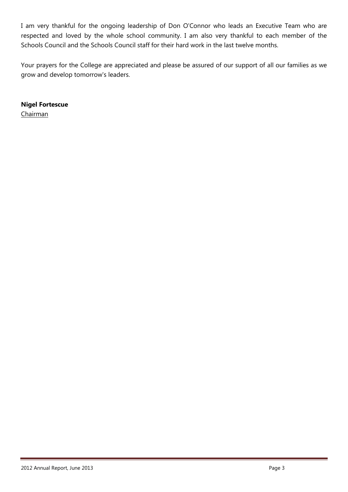I am very thankful for the ongoing leadership of Don O'Connor who leads an Executive Team who are respected and loved by the whole school community. I am also very thankful to each member of the Schools Council and the Schools Council staff for their hard work in the last twelve months.

Your prayers for the College are appreciated and please be assured of our support of all our families as we grow and develop tomorrow's leaders.

**Nigel Fortescue**

Chairman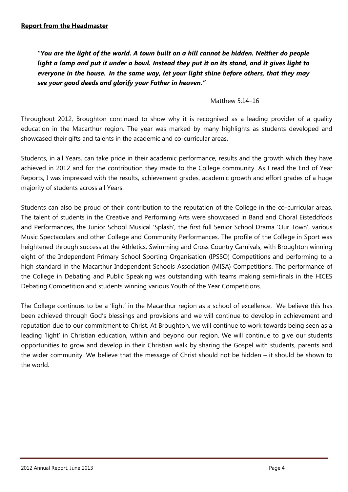*"You are the light of the world. A town built on a hill cannot be hidden. Neither do people light a lamp and put it under a bowl. Instead they put it on its stand, and it gives light to everyone in the house. In the same way, let your light shine before others, that they may see your good deeds and glorify your Father in heaven."*

#### Matthew 5:14–16

Throughout 2012, Broughton continued to show why it is recognised as a leading provider of a quality education in the Macarthur region. The year was marked by many highlights as students developed and showcased their gifts and talents in the academic and co-curricular areas.

Students, in all Years, can take pride in their academic performance, results and the growth which they have achieved in 2012 and for the contribution they made to the College community. As I read the End of Year Reports, I was impressed with the results, achievement grades, academic growth and effort grades of a huge majority of students across all Years.

Students can also be proud of their contribution to the reputation of the College in the co-curricular areas. The talent of students in the Creative and Performing Arts were showcased in Band and Choral Eisteddfods and Performances, the Junior School Musical 'Splash', the first full Senior School Drama 'Our Town', various Music Spectaculars and other College and Community Performances. The profile of the College in Sport was heightened through success at the Athletics, Swimming and Cross Country Carnivals, with Broughton winning eight of the Independent Primary School Sporting Organisation (IPSSO) Competitions and performing to a high standard in the Macarthur Independent Schools Association (MISA) Competitions. The performance of the College in Debating and Public Speaking was outstanding with teams making semi-finals in the HICES Debating Competition and students winning various Youth of the Year Competitions.

The College continues to be a 'light' in the Macarthur region as a school of excellence. We believe this has been achieved through God's blessings and provisions and we will continue to develop in achievement and reputation due to our commitment to Christ. At Broughton, we will continue to work towards being seen as a leading 'light' in Christian education, within and beyond our region. We will continue to give our students opportunities to grow and develop in their Christian walk by sharing the Gospel with students, parents and the wider community. We believe that the message of Christ should not be hidden – it should be shown to the world.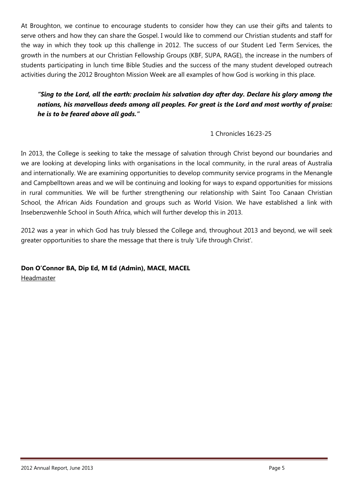At Broughton, we continue to encourage students to consider how they can use their gifts and talents to serve others and how they can share the Gospel. I would like to commend our Christian students and staff for the way in which they took up this challenge in 2012. The success of our Student Led Term Services, the growth in the numbers at our Christian Fellowship Groups (KBF, SUPA, RAGE), the increase in the numbers of students participating in lunch time Bible Studies and the success of the many student developed outreach activities during the 2012 Broughton Mission Week are all examples of how God is working in this place.

*"Sing to the Lord, all the earth: proclaim his salvation day after day. Declare his glory among the nations, his marvellous deeds among all peoples. For great is the Lord and most worthy of praise: he is to be feared above all gods."*

## 1 Chronicles 16:23-25

In 2013, the College is seeking to take the message of salvation through Christ beyond our boundaries and we are looking at developing links with organisations in the local community, in the rural areas of Australia and internationally. We are examining opportunities to develop community service programs in the Menangle and Campbelltown areas and we will be continuing and looking for ways to expand opportunities for missions in rural communities. We will be further strengthening our relationship with Saint Too Canaan Christian School, the African Aids Foundation and groups such as World Vision. We have established a link with Insebenzwenhle School in South Africa, which will further develop this in 2013.

2012 was a year in which God has truly blessed the College and, throughout 2013 and beyond, we will seek greater opportunities to share the message that there is truly 'Life through Christ'.

**Don O'Connor BA, Dip Ed, M Ed (Admin), MACE, MACEL** Headmaster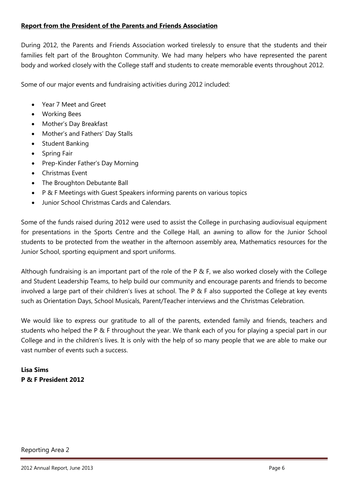#### **Report from the President of the Parents and Friends Association**

During 2012, the Parents and Friends Association worked tirelessly to ensure that the students and their families felt part of the Broughton Community. We had many helpers who have represented the parent body and worked closely with the College staff and students to create memorable events throughout 2012.

Some of our major events and fundraising activities during 2012 included:

- Year 7 Meet and Greet
- Working Bees
- Mother's Day Breakfast
- Mother's and Fathers' Day Stalls
- Student Banking
- Spring Fair
- Prep-Kinder Father's Day Morning
- Christmas Event
- The Broughton Debutante Ball
- P & F Meetings with Guest Speakers informing parents on various topics
- Junior School Christmas Cards and Calendars.

Some of the funds raised during 2012 were used to assist the College in purchasing audiovisual equipment for presentations in the Sports Centre and the College Hall, an awning to allow for the Junior School students to be protected from the weather in the afternoon assembly area, Mathematics resources for the Junior School, sporting equipment and sport uniforms.

Although fundraising is an important part of the role of the P & F, we also worked closely with the College and Student Leadership Teams, to help build our community and encourage parents and friends to become involved a large part of their children's lives at school. The P & F also supported the College at key events such as Orientation Days, School Musicals, Parent/Teacher interviews and the Christmas Celebration.

We would like to express our gratitude to all of the parents, extended family and friends, teachers and students who helped the P & F throughout the year. We thank each of you for playing a special part in our College and in the children's lives. It is only with the help of so many people that we are able to make our vast number of events such a success.

**Lisa Sims P & F President 2012**

#### Reporting Area 2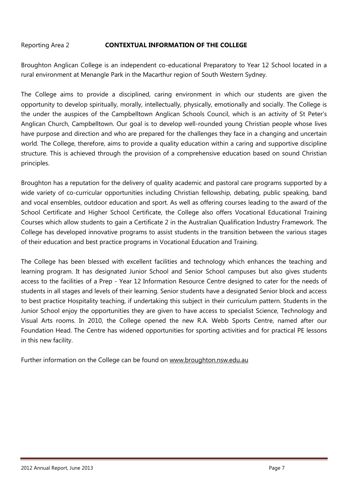#### Reporting Area 2 **CONTEXTUAL INFORMATION OF THE COLLEGE**

Broughton Anglican College is an independent co-educational Preparatory to Year 12 School located in a rural environment at Menangle Park in the Macarthur region of South Western Sydney.

The College aims to provide a disciplined, caring environment in which our students are given the opportunity to develop spiritually, morally, intellectually, physically, emotionally and socially. The College is the under the auspices of the Campbelltown Anglican Schools Council, which is an activity of St Peter's Anglican Church, Campbelltown. Our goal is to develop well-rounded young Christian people whose lives have purpose and direction and who are prepared for the challenges they face in a changing and uncertain world. The College, therefore, aims to provide a quality education within a caring and supportive discipline structure. This is achieved through the provision of a comprehensive education based on sound Christian principles.

Broughton has a reputation for the delivery of quality academic and pastoral care programs supported by a wide variety of co-curricular opportunities including Christian fellowship, debating, public speaking, band and vocal ensembles, outdoor education and sport. As well as offering courses leading to the award of the School Certificate and Higher School Certificate, the College also offers Vocational Educational Training Courses which allow students to gain a Certificate 2 in the Australian Qualification Industry Framework. The College has developed innovative programs to assist students in the transition between the various stages of their education and best practice programs in Vocational Education and Training.

The College has been blessed with excellent facilities and technology which enhances the teaching and learning program. It has designated Junior School and Senior School campuses but also gives students access to the facilities of a Prep - Year 12 Information Resource Centre designed to cater for the needs of students in all stages and levels of their learning. Senior students have a designated Senior block and access to best practice Hospitality teaching, if undertaking this subject in their curriculum pattern. Students in the Junior School enjoy the opportunities they are given to have access to specialist Science, Technology and Visual Arts rooms. In 2010, the College opened the new R.A. Webb Sports Centre, named after our Foundation Head. The Centre has widened opportunities for sporting activities and for practical PE lessons in this new facility.

Further information on the College can be found on [www.broughton.nsw.edu.au](http://www.broughton.nsw.edu.au/)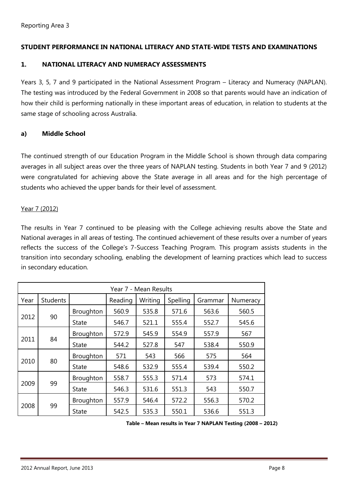#### **STUDENT PERFORMANCE IN NATIONAL LITERACY AND STATE-WIDE TESTS AND EXAMINATIONS**

#### **1. NATIONAL LITERACY AND NUMERACY ASSESSMENTS**

Years 3, 5, 7 and 9 participated in the National Assessment Program – Literacy and Numeracy (NAPLAN). The testing was introduced by the Federal Government in 2008 so that parents would have an indication of how their child is performing nationally in these important areas of education, in relation to students at the same stage of schooling across Australia.

#### **a) Middle School**

The continued strength of our Education Program in the Middle School is shown through data comparing averages in all subject areas over the three years of NAPLAN testing. Students in both Year 7 and 9 (2012) were congratulated for achieving above the State average in all areas and for the high percentage of students who achieved the upper bands for their level of assessment.

#### Year 7 (2012)

The results in Year 7 continued to be pleasing with the College achieving results above the State and National averages in all areas of testing. The continued achievement of these results over a number of years reflects the success of the College's 7-Success Teaching Program. This program assists students in the transition into secondary schooling, enabling the development of learning practices which lead to success in secondary education.

| Year 7 - Mean Results |                 |              |         |         |          |         |          |  |  |
|-----------------------|-----------------|--------------|---------|---------|----------|---------|----------|--|--|
| Year                  | <b>Students</b> |              | Reading | Writing | Spelling | Grammar | Numeracy |  |  |
|                       |                 | Broughton    | 560.9   | 535.8   | 571.6    | 563.6   | 560.5    |  |  |
| 2012                  | 90              | <b>State</b> | 546.7   | 521.1   | 555.4    | 552.7   | 545.6    |  |  |
|                       | 2011<br>84      | Broughton    | 572.9   | 545.9   | 554.9    | 557.9   | 567      |  |  |
|                       |                 | <b>State</b> | 544.2   | 527.8   | 547      | 538.4   | 550.9    |  |  |
|                       |                 | Broughton    | 571     | 543     | 566      | 575     | 564      |  |  |
| 2010                  | 80              | <b>State</b> | 548.6   | 532.9   | 555.4    | 539.4   | 550.2    |  |  |
|                       |                 | Broughton    | 558.7   | 555.3   | 571.4    | 573     | 574.1    |  |  |
| 2009                  | 99              | <b>State</b> | 546.3   | 531.6   | 551.3    | 543     | 550.7    |  |  |
|                       |                 | Broughton    | 557.9   | 546.4   | 572.2    | 556.3   | 570.2    |  |  |
| 2008                  | 99              | State        | 542.5   | 535.3   | 550.1    | 536.6   | 551.3    |  |  |

**Table – Mean results in Year 7 NAPLAN Testing (2008 – 2012)**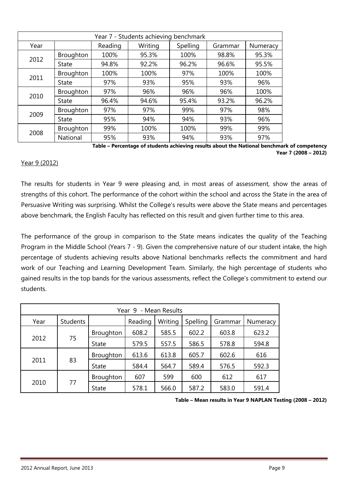| Year 7 - Students achieving benchmark |              |         |         |       |         |          |  |  |  |
|---------------------------------------|--------------|---------|---------|-------|---------|----------|--|--|--|
| Year                                  |              | Reading | Writing |       | Grammar | Numeracy |  |  |  |
| 2012                                  | Broughton    | 100%    | 95.3%   | 100%  | 98.8%   | 95.3%    |  |  |  |
|                                       | <b>State</b> | 94.8%   | 92.2%   | 96.2% | 96.6%   | 95.5%    |  |  |  |
|                                       | Broughton    | 100%    | 100%    | 97%   | 100%    | 100%     |  |  |  |
| 2011                                  | <b>State</b> | 97%     | 93%     | 95%   | 93%     | 96%      |  |  |  |
| 2010                                  | Broughton    | 97%     | 96%     | 96%   | 96%     | 100%     |  |  |  |
|                                       | State        | 96.4%   | 94.6%   | 95.4% | 93.2%   | 96.2%    |  |  |  |
|                                       | Broughton    | 97%     | 97%     | 99%   | 97%     | 98%      |  |  |  |
| 2009                                  | State        | 95%     | 94%     | 94%   | 93%     | 96%      |  |  |  |
|                                       | Broughton    | 99%     | 100%    | 100%  | 99%     | 99%      |  |  |  |
| 2008                                  | National     | 95%     | 93%     | 94%   | 93%     | 97%      |  |  |  |

**Table – Percentage of students achieving results about the National benchmark of competency Year 7 (2008 – 2012)**

#### Year 9 (2012)

The results for students in Year 9 were pleasing and, in most areas of assessment, show the areas of strengths of this cohort. The performance of the cohort within the school and across the State in the area of Persuasive Writing was surprising. Whilst the College's results were above the State means and percentages above benchmark, the English Faculty has reflected on this result and given further time to this area.

The performance of the group in comparison to the State means indicates the quality of the Teaching Program in the Middle School (Years 7 - 9). Given the comprehensive nature of our student intake, the high percentage of students achieving results above National benchmarks reflects the commitment and hard work of our Teaching and Learning Development Team. Similarly, the high percentage of students who gained results in the top bands for the various assessments, reflect the College's commitment to extend our students.

| Year 9 - Mean Results |                 |                  |         |         |          |         |          |  |  |
|-----------------------|-----------------|------------------|---------|---------|----------|---------|----------|--|--|
| Year                  | <b>Students</b> |                  | Reading | Writing | Spelling | Grammar | Numeracy |  |  |
|                       |                 | Broughton        | 608.2   | 585.5   | 602.2    | 603.8   | 623.2    |  |  |
| 2012                  | 75              | State            | 579.5   | 557.5   | 586.5    | 578.8   | 594.8    |  |  |
|                       | 83              | <b>Broughton</b> | 613.6   | 613.8   | 605.7    | 602.6   | 616      |  |  |
| 2011                  |                 | State            | 584.4   | 564.7   | 589.4    | 576.5   | 592.3    |  |  |
| 2010                  | 77              | Broughton        | 607     | 599     | 600      | 612     | 617      |  |  |
|                       |                 | State            | 578.1   | 566.0   | 587.2    | 583.0   | 591.4    |  |  |

**Table – Mean results in Year 9 NAPLAN Testing (2008 – 2012)**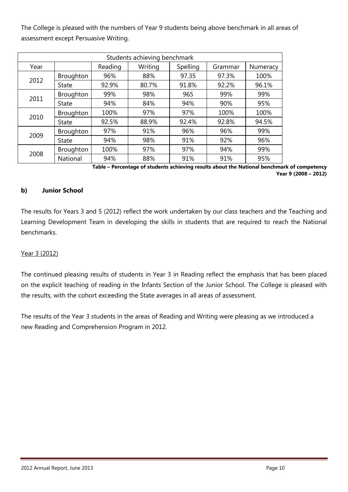The College is pleased with the numbers of Year 9 students being above benchmark in all areas of assessment except Persuasive Writing.

|      | Students achieving benchmark |         |         |          |         |          |  |  |  |  |  |
|------|------------------------------|---------|---------|----------|---------|----------|--|--|--|--|--|
| Year |                              | Reading | Writing | Spelling | Grammar | Numeracy |  |  |  |  |  |
|      | Broughton                    | 96%     | 88%     | 97.35    | 97.3%   | 100%     |  |  |  |  |  |
| 2012 | State                        | 92.9%   | 80.7%   | 91.8%    | 92.2%   | 96.1%    |  |  |  |  |  |
|      | Broughton                    | 99%     | 98%     | 965      | 99%     | 99%      |  |  |  |  |  |
| 2011 | <b>State</b>                 | 94%     | 84%     | 94%      | 90%     | 95%      |  |  |  |  |  |
| 2010 | Broughton                    | 100%    | 97%     | 97%      | 100%    | 100%     |  |  |  |  |  |
|      | <b>State</b>                 | 92.5%   | 88.9%   | 92.4%    | 92.8%   | 94.5%    |  |  |  |  |  |
|      | Broughton                    | 97%     | 91%     | 96%      | 96%     | 99%      |  |  |  |  |  |
| 2009 | <b>State</b>                 | 94%     | 98%     | 91%      | 92%     | 96%      |  |  |  |  |  |
|      | Broughton                    | 100%    | 97%     | 97%      | 94%     | 99%      |  |  |  |  |  |
| 2008 | National                     | 94%     | 88%     | 91%      | 91%     | 95%      |  |  |  |  |  |

**Table – Percentage of students achieving results about the National benchmark of competency Year 9 (2008 – 2012)**

#### **b) Junior School**

The results for Years 3 and 5 (2012) reflect the work undertaken by our class teachers and the Teaching and Learning Development Team in developing the skills in students that are required to reach the National benchmarks.

#### Year 3 (2012)

The continued pleasing results of students in Year 3 in Reading reflect the emphasis that has been placed on the explicit teaching of reading in the Infants Section of the Junior School. The College is pleased with the results, with the cohort exceeding the State averages in all areas of assessment.

The results of the Year 3 students in the areas of Reading and Writing were pleasing as we introduced a new Reading and Comprehension Program in 2012.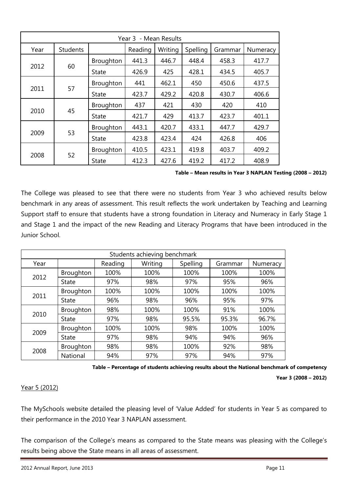| Year 3 - Mean Results |                 |           |         |         |          |         |          |  |  |
|-----------------------|-----------------|-----------|---------|---------|----------|---------|----------|--|--|
| Year                  | <b>Students</b> |           | Reading | Writing | Spelling | Grammar | Numeracy |  |  |
|                       |                 | Broughton | 441.3   | 446.7   | 448.4    | 458.3   | 417.7    |  |  |
| 2012                  | 60              | State     | 426.9   | 425     | 428.1    | 434.5   | 405.7    |  |  |
|                       |                 | Broughton | 441     | 462.1   | 450      | 450.6   | 437.5    |  |  |
| 2011                  | 57              | State     | 423.7   | 429.2   | 420.8    | 430.7   | 406.6    |  |  |
|                       |                 | Broughton | 437     | 421     | 430      | 420     | 410      |  |  |
| 2010                  | 45              | State     | 421.7   | 429     | 413.7    | 423.7   | 401.1    |  |  |
|                       |                 | Broughton | 443.1   | 420.7   | 433.1    | 447.7   | 429.7    |  |  |
| 2009                  | 53              | State     | 423.8   | 423.4   | 424      | 426.8   | 406      |  |  |
|                       |                 | Broughton | 410.5   | 423.1   | 419.8    | 403.7   | 409.2    |  |  |
| 2008                  | 52              | State     | 412.3   | 427.6   | 419.2    | 417.2   | 408.9    |  |  |

**Table – Mean results in Year 3 NAPLAN Testing (2008 – 2012)**

The College was pleased to see that there were no students from Year 3 who achieved results below benchmark in any areas of assessment. This result reflects the work undertaken by Teaching and Learning Support staff to ensure that students have a strong foundation in Literacy and Numeracy in Early Stage 1 and Stage 1 and the impact of the new Reading and Literacy Programs that have been introduced in the Junior School.

|      | Students achieving benchmark |         |         |          |         |          |  |  |  |  |  |
|------|------------------------------|---------|---------|----------|---------|----------|--|--|--|--|--|
| Year |                              | Reading | Writing | Spelling | Grammar | Numeracy |  |  |  |  |  |
| 2012 | Broughton                    | 100%    | 100%    | 100%     | 100%    | 100%     |  |  |  |  |  |
|      | <b>State</b>                 | 97%     | 98%     | 97%      | 95%     | 96%      |  |  |  |  |  |
|      | Broughton                    | 100%    | 100%    | 100%     | 100%    | 100%     |  |  |  |  |  |
| 2011 | State                        | 96%     | 98%     | 96%      | 95%     | 97%      |  |  |  |  |  |
| 2010 | Broughton                    | 98%     | 100%    | 100%     | 91%     | 100%     |  |  |  |  |  |
|      | State                        | 97%     | 98%     | 95.5%    | 95.3%   | 96.7%    |  |  |  |  |  |
| 2009 | Broughton                    | 100%    | 100%    | 98%      | 100%    | 100%     |  |  |  |  |  |
|      | State                        | 97%     | 98%     | 94%      | 94%     | 96%      |  |  |  |  |  |
|      | Broughton                    | 98%     | 98%     | 100%     | 92%     | 98%      |  |  |  |  |  |
| 2008 | National                     | 94%     | 97%     | 97%      | 94%     | 97%      |  |  |  |  |  |

**Table – Percentage of students achieving results about the National benchmark of competency** 

**Year 3 (2008 – 2012)**

#### Year 5 (2012)

The MySchools website detailed the pleasing level of 'Value Added' for students in Year 5 as compared to their performance in the 2010 Year 3 NAPLAN assessment.

The comparison of the College's means as compared to the State means was pleasing with the College's results being above the State means in all areas of assessment.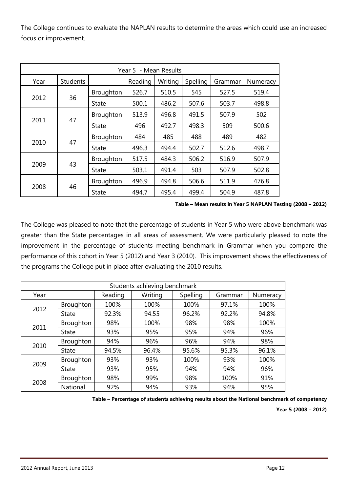The College continues to evaluate the NAPLAN results to determine the areas which could use an increased focus or improvement.

| Year 5 - Mean Results |                 |                  |         |         |          |         |          |  |  |
|-----------------------|-----------------|------------------|---------|---------|----------|---------|----------|--|--|
| Year                  | <b>Students</b> |                  | Reading | Writing | Spelling | Grammar | Numeracy |  |  |
|                       |                 | Broughton        | 526.7   | 510.5   | 545      | 527.5   | 519.4    |  |  |
| 2012                  | 36              | State            | 500.1   | 486.2   | 507.6    | 503.7   | 498.8    |  |  |
|                       |                 | <b>Broughton</b> | 513.9   | 496.8   | 491.5    | 507.9   | 502      |  |  |
| 2011                  | 47              | <b>State</b>     | 496     | 492.7   | 498.3    | 509     | 500.6    |  |  |
|                       | 47              | Broughton        | 484     | 485     | 488      | 489     | 482      |  |  |
| 2010                  |                 | State            | 496.3   | 494.4   | 502.7    | 512.6   | 498.7    |  |  |
|                       |                 | <b>Broughton</b> | 517.5   | 484.3   | 506.2    | 516.9   | 507.9    |  |  |
| 2009                  | 43              | <b>State</b>     | 503.1   | 491.4   | 503      | 507.9   | 502.8    |  |  |
|                       |                 | Broughton        | 496.9   | 494.8   | 506.6    | 511.9   | 476.8    |  |  |
| 2008                  | 46              | <b>State</b>     | 494.7   | 495.4   | 499.4    | 504.9   | 487.8    |  |  |

**Table – Mean results in Year 5 NAPLAN Testing (2008 – 2012)**

The College was pleased to note that the percentage of students in Year 5 who were above benchmark was greater than the State percentages in all areas of assessment. We were particularly pleased to note the improvement in the percentage of students meeting benchmark in Grammar when you compare the performance of this cohort in Year 5 (2012) and Year 3 (2010). This improvement shows the effectiveness of the programs the College put in place after evaluating the 2010 results.

| Students achieving benchmark |                 |         |         |          |         |          |  |  |  |  |
|------------------------------|-----------------|---------|---------|----------|---------|----------|--|--|--|--|
| Year                         |                 | Reading | Writing | Spelling | Grammar | Numeracy |  |  |  |  |
| 2012                         | Broughton       | 100%    | 100%    | 100%     | 97.1%   | 100%     |  |  |  |  |
|                              | State           | 92.3%   | 94.55   | 96.2%    | 92.2%   | 94.8%    |  |  |  |  |
| 2011                         | Broughton       | 98%     | 100%    | 98%      | 98%     | 100%     |  |  |  |  |
|                              | State           | 93%     | 95%     | 95%      | 94%     | 96%      |  |  |  |  |
| 2010                         | Broughton       | 94%     | 96%     | 96%      | 94%     | 98%      |  |  |  |  |
|                              | <b>State</b>    | 94.5%   | 96.4%   | 95.6%    | 95.3%   | 96.1%    |  |  |  |  |
| 2009                         | Broughton       | 93%     | 93%     | 100%     | 93%     | 100%     |  |  |  |  |
|                              | <b>State</b>    | 93%     | 95%     | 94%      | 94%     | 96%      |  |  |  |  |
|                              | Broughton       | 98%     | 99%     | 98%      | 100%    | 91%      |  |  |  |  |
| 2008                         | <b>National</b> | 92%     | 94%     | 93%      | 94%     | 95%      |  |  |  |  |

**Table – Percentage of students achieving results about the National benchmark of competency** 

**Year 5 (2008 – 2012)**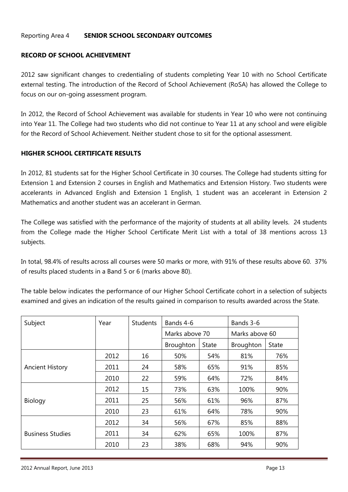#### Reporting Area 4 **SENIOR SCHOOL SECONDARY OUTCOMES**

#### **RECORD OF SCHOOL ACHIEVEMENT**

2012 saw significant changes to credentialing of students completing Year 10 with no School Certificate external testing. The introduction of the Record of School Achievement (RoSA) has allowed the College to focus on our on-going assessment program.

In 2012, the Record of School Achievement was available for students in Year 10 who were not continuing into Year 11. The College had two students who did not continue to Year 11 at any school and were eligible for the Record of School Achievement. Neither student chose to sit for the optional assessment.

#### **HIGHER SCHOOL CERTIFICATE RESULTS**

In 2012, 81 students sat for the Higher School Certificate in 30 courses. The College had students sitting for Extension 1 and Extension 2 courses in English and Mathematics and Extension History. Two students were accelerants in Advanced English and Extension 1 English, 1 student was an accelerant in Extension 2 Mathematics and another student was an accelerant in German.

The College was satisfied with the performance of the majority of students at all ability levels. 24 students from the College made the Higher School Certificate Merit List with a total of 38 mentions across 13 subjects.

In total, 98.4% of results across all courses were 50 marks or more, with 91% of these results above 60. 37% of results placed students in a Band 5 or 6 (marks above 80).

The table below indicates the performance of our Higher School Certificate cohort in a selection of subjects examined and gives an indication of the results gained in comparison to results awarded across the State.

| Subject                 | Year | <b>Students</b> | Bands 4-6      |              | Bands 3-6      |              |
|-------------------------|------|-----------------|----------------|--------------|----------------|--------------|
|                         |      |                 | Marks above 70 |              | Marks above 60 |              |
|                         |      |                 | Broughton      | <b>State</b> | Broughton      | <b>State</b> |
|                         | 2012 | 16              | 50%            | 54%          | 81%            | 76%          |
| <b>Ancient History</b>  | 2011 | 24              | 58%            | 65%          | 91%            | 85%          |
|                         | 2010 | 22              | 59%            | 64%          | 72%            | 84%          |
|                         | 2012 | 15              | 73%            | 63%          | 100%           | 90%          |
| <b>Biology</b>          | 2011 | 25              | 56%            | 61%          | 96%            | 87%          |
|                         | 2010 | 23              | 61%            | 64%          | 78%            | 90%          |
|                         | 2012 | 34              | 56%            | 67%          | 85%            | 88%          |
| <b>Business Studies</b> | 2011 | 34              | 62%            | 65%          | 100%           | 87%          |
|                         | 2010 | 23              | 38%            | 68%          | 94%            | 90%          |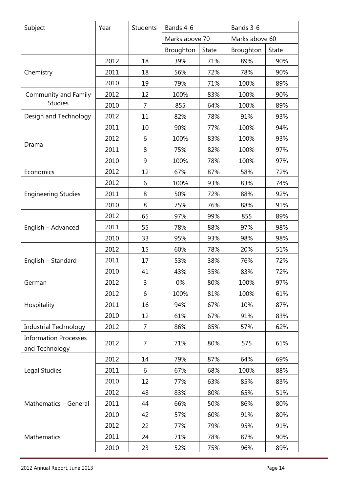| Subject                                        | Year | <b>Students</b> | Bands 4-6      |              | Bands 3-6      |              |  |
|------------------------------------------------|------|-----------------|----------------|--------------|----------------|--------------|--|
|                                                |      |                 | Marks above 70 |              | Marks above 60 |              |  |
|                                                |      |                 | Broughton      | <b>State</b> | Broughton      | <b>State</b> |  |
|                                                | 2012 | 18              | 39%            | 71%          | 89%            | 90%          |  |
| Chemistry                                      | 2011 | 18              | 56%            | 72%          | 78%            | 90%          |  |
|                                                | 2010 | 19              | 79%            | 71%          | 100%           | 89%          |  |
| Community and Family                           | 2012 | 12              | 100%           | 83%          | 100%           | 90%          |  |
| <b>Studies</b>                                 | 2010 | 7               | 855            | 64%          | 100%           | 89%          |  |
| Design and Technology                          | 2012 | 11              | 82%            | 78%          | 91%            | 93%          |  |
|                                                | 2011 | 10              | 90%            | 77%          | 100%           | 94%          |  |
|                                                | 2012 | 6               | 100%           | 83%          | 100%           | 93%          |  |
| Drama                                          | 2011 | 8               | 75%            | 82%          | 100%           | 97%          |  |
|                                                | 2010 | $9$             | 100%           | 78%          | 100%           | 97%          |  |
| Economics                                      | 2012 | 12              | 67%            | 87%          | 58%            | 72%          |  |
|                                                | 2012 | 6               | 100%           | 93%          | 83%            | 74%          |  |
| <b>Engineering Studies</b>                     | 2011 | 8               | 50%            | 72%          | 88%            | 92%          |  |
|                                                | 2010 | 8               | 75%            | 76%          | 88%            | 91%          |  |
|                                                | 2012 | 65              | 97%            | 99%          | 855            | 89%          |  |
| English - Advanced                             | 2011 | 55              | 78%            | 88%          | 97%            | 98%          |  |
|                                                | 2010 | 33              | 95%            | 93%          | 98%            | 98%          |  |
|                                                | 2012 | 15              | 60%            | 78%          | 20%            | 51%          |  |
| English - Standard                             | 2011 | 17              | 53%            | 38%          | 76%            | 72%          |  |
|                                                | 2010 | 41              | 43%            | 35%          | 83%            | 72%          |  |
| German                                         | 2012 | 3               | 0%             | 80%          | 100%           | 97%          |  |
|                                                | 2012 | 6               | 100%           | 81%          | 100%           | 61%          |  |
| Hospitality                                    | 2011 | 16              | 94%            | 67%          | 10%            | 87%          |  |
|                                                | 2010 | 12              | 61%            | 67%          | 91%            | 83%          |  |
| <b>Industrial Technology</b>                   | 2012 | 7               | 86%            | 85%          | 57%            | 62%          |  |
| <b>Information Processes</b><br>and Technology | 2012 | 7               | 71%            | 80%          | 575            | 61%          |  |
|                                                | 2012 | 14              | 79%            | 87%          | 64%            | 69%          |  |
| Legal Studies                                  | 2011 | 6               | 67%            | 68%          | 100%           | 88%          |  |
|                                                | 2010 | 12              | 77%            | 63%          | 85%            | 83%          |  |
|                                                | 2012 | 48              | 83%            | 80%          | 65%            | 51%          |  |
| Mathematics - General                          | 2011 | 44              | 66%            | 50%          | 86%            | 80%          |  |
|                                                | 2010 | 42              | 57%            | 60%          | 91%            | 80%          |  |
|                                                | 2012 | 22              | 77%            | 79%          | 95%            | 91%          |  |
| Mathematics                                    | 2011 | 24              | 71%            | 78%          | 87%            | 90%          |  |
|                                                | 2010 | 23              | 52%            | 75%          | 96%            | 89%          |  |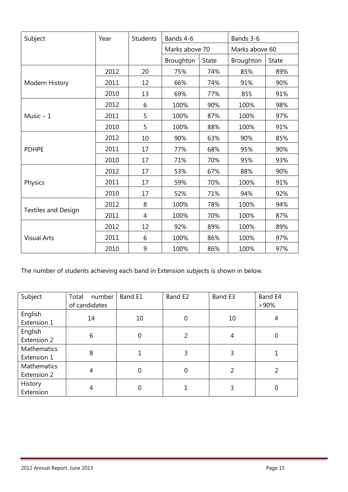| Subject                    | Year | <b>Students</b> | Bands 4-6      |              | Bands 3-6      |              |
|----------------------------|------|-----------------|----------------|--------------|----------------|--------------|
|                            |      |                 | Marks above 70 |              | Marks above 60 |              |
|                            |      |                 | Broughton      | <b>State</b> | Broughton      | <b>State</b> |
|                            | 2012 | 20              | 75%            | 74%          | 85%            | 89%          |
| Modern History             | 2011 | 12              | 66%            | 74%          | 91%            | 90%          |
|                            | 2010 | 13              | 69%            | 77%          | 855            | 91%          |
|                            | 2012 | 6               | 100%           | 90%          | 100%           | 98%          |
| Music $-1$                 | 2011 | 5               | 100%           | 87%          | 100%           | 97%          |
|                            | 2010 | 5               | 100%           | 88%          | 100%           | 91%          |
|                            | 2012 | 10              | 90%            | 63%          | 90%            | 85%          |
| <b>PDHPE</b>               | 2011 | 17              | 77%            | 68%          | 95%            | 90%          |
|                            | 2010 | 17              | 71%            | 70%          | 95%            | 93%          |
|                            | 2012 | 17              | 53%            | 67%          | 88%            | 90%          |
| Physics                    | 2011 | 17              | 59%            | 70%          | 100%           | 91%          |
|                            | 2010 | 17              | 52%            | 71%          | 94%            | 92%          |
|                            | 2012 | 8               | 100%           | 78%          | 100%           | 94%          |
| <b>Textiles and Design</b> | 2011 | 4               | 100%           | 70%          | 100%           | 87%          |
|                            | 2012 | 12              | 92%            | 89%          | 100%           | 89%          |
| <b>Visual Arts</b>         | 2011 | 6               | 100%           | 86%          | 100%           | 97%          |
|                            | 2010 | 9               | 100%           | 86%          | 100%           | 97%          |

The number of students achieving each band in Extension subjects is shown in below.

| Subject                    | number<br>Total<br>of candidates | Band E1     | Band E2     | Band E3 | Band E4<br>$>90\%$ |
|----------------------------|----------------------------------|-------------|-------------|---------|--------------------|
| English<br>Extension 1     | 14                               | 10          | $\mathbf 0$ | 10      | 4                  |
| English<br>Extension 2     | 6                                | $\mathbf 0$ | 2           | 4       | 0                  |
| Mathematics<br>Extension 1 | 8                                |             | 3           | 3       |                    |
| Mathematics<br>Extension 2 |                                  | 0           | $\mathbf 0$ | 2       |                    |
| History<br>Extension       |                                  | 0           |             | 3       |                    |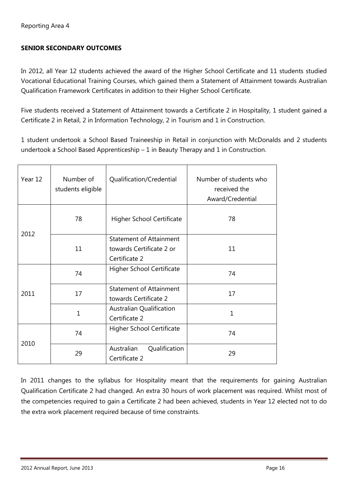#### **SENIOR SECONDARY OUTCOMES**

In 2012, all Year 12 students achieved the award of the Higher School Certificate and 11 students studied Vocational Educational Training Courses, which gained them a Statement of Attainment towards Australian Qualification Framework Certificates in addition to their Higher School Certificate.

Five students received a Statement of Attainment towards a Certificate 2 in Hospitality, 1 student gained a Certificate 2 in Retail, 2 in Information Technology, 2 in Tourism and 1 in Construction.

1 student undertook a School Based Traineeship in Retail in conjunction with McDonalds and 2 students undertook a School Based Apprenticeship – 1 in Beauty Therapy and 1 in Construction.

| Year 12 | Number of<br>students eligible | Qualification/Credential                                                    | Number of students who<br>received the<br>Award/Credential |
|---------|--------------------------------|-----------------------------------------------------------------------------|------------------------------------------------------------|
|         | 78                             | <b>Higher School Certificate</b>                                            | 78                                                         |
| 2012    | 11                             | <b>Statement of Attainment</b><br>towards Certificate 2 or<br>Certificate 2 | 11                                                         |
|         | 74                             | <b>Higher School Certificate</b>                                            | 74                                                         |
| 2011    | 17                             | <b>Statement of Attainment</b><br>towards Certificate 2                     | 17                                                         |
|         | $\mathbf{1}$                   | Australian Qualification<br>Certificate 2                                   | 1                                                          |
| 2010    | 74                             | Higher School Certificate                                                   | 74                                                         |
|         | 29                             | Australian<br>Qualification<br>Certificate 2                                | 29                                                         |

In 2011 changes to the syllabus for Hospitality meant that the requirements for gaining Australian Qualification Certificate 2 had changed. An extra 30 hours of work placement was required. Whilst most of the competencies required to gain a Certificate 2 had been achieved, students in Year 12 elected not to do the extra work placement required because of time constraints.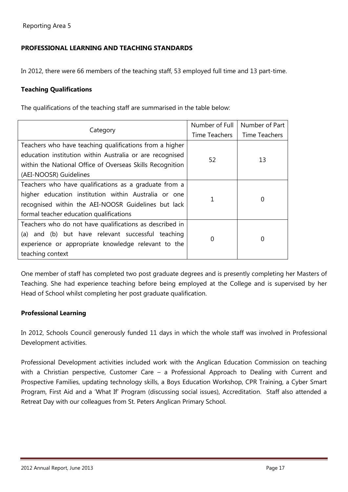#### **PROFESSIONAL LEARNING AND TEACHING STANDARDS**

In 2012, there were 66 members of the teaching staff, 53 employed full time and 13 part-time.

#### **Teaching Qualifications**

The qualifications of the teaching staff are summarised in the table below:

|                                                           | Number of Full | Number of Part |
|-----------------------------------------------------------|----------------|----------------|
| Category                                                  | Time Teachers  | Time Teachers  |
| Teachers who have teaching qualifications from a higher   |                | 13             |
| education institution within Australia or are recognised  |                |                |
| within the National Office of Overseas Skills Recognition | 52             |                |
| (AEI-NOOSR) Guidelines                                    |                |                |
| Teachers who have qualifications as a graduate from a     |                | 0              |
| higher education institution within Australia or one      |                |                |
| recognised within the AEI-NOOSR Guidelines but lack       |                |                |
| formal teacher education qualifications                   |                |                |
| Teachers who do not have qualifications as described in   |                |                |
| (a) and (b) but have relevant successful teaching         | 0              | 0              |
| experience or appropriate knowledge relevant to the       |                |                |
| teaching context                                          |                |                |

One member of staff has completed two post graduate degrees and is presently completing her Masters of Teaching. She had experience teaching before being employed at the College and is supervised by her Head of School whilst completing her post graduate qualification.

#### **Professional Learning**

In 2012, Schools Council generously funded 11 days in which the whole staff was involved in Professional Development activities.

Professional Development activities included work with the Anglican Education Commission on teaching with a Christian perspective, Customer Care – a Professional Approach to Dealing with Current and Prospective Families, updating technology skills, a Boys Education Workshop, CPR Training, a Cyber Smart Program, First Aid and a 'What If' Program (discussing social issues), Accreditation. Staff also attended a Retreat Day with our colleagues from St. Peters Anglican Primary School.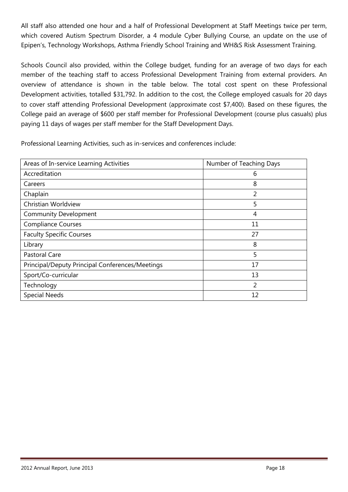All staff also attended one hour and a half of Professional Development at Staff Meetings twice per term, which covered Autism Spectrum Disorder, a 4 module Cyber Bullying Course, an update on the use of Epipen's, Technology Workshops, Asthma Friendly School Training and WH&S Risk Assessment Training.

Schools Council also provided, within the College budget, funding for an average of two days for each member of the teaching staff to access Professional Development Training from external providers. An overview of attendance is shown in the table below. The total cost spent on these Professional Development activities, totalled \$31,792. In addition to the cost, the College employed casuals for 20 days to cover staff attending Professional Development (approximate cost \$7,400). Based on these figures, the College paid an average of \$600 per staff member for Professional Development (course plus casuals) plus paying 11 days of wages per staff member for the Staff Development Days.

Professional Learning Activities, such as in-services and conferences include:

| Areas of In-service Learning Activities         | Number of Teaching Days |
|-------------------------------------------------|-------------------------|
| Accreditation                                   | 6                       |
| Careers                                         | 8                       |
| Chaplain                                        | 2                       |
| Christian Worldview                             | 5                       |
| <b>Community Development</b>                    | 4                       |
| <b>Compliance Courses</b>                       | 11                      |
| <b>Faculty Specific Courses</b>                 | 27                      |
| Library                                         | 8                       |
| Pastoral Care                                   | 5                       |
| Principal/Deputy Principal Conferences/Meetings | 17                      |
| Sport/Co-curricular                             | 13                      |
| Technology                                      | $\overline{2}$          |
| <b>Special Needs</b>                            | 12                      |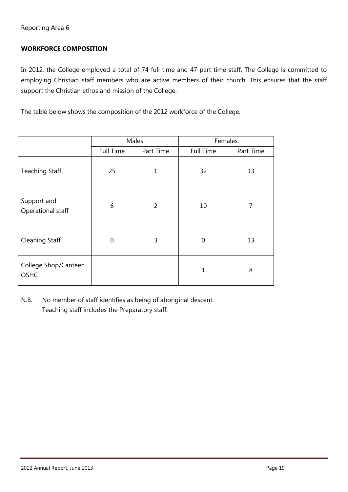#### **WORKFORCE COMPOSITION**

In 2012, the College employed a total of 74 full time and 47 part time staff. The College is committed to employing Christian staff members who are active members of their church. This ensures that the staff support the Christian ethos and mission of the College.

The table below shows the composition of the 2012 workforce of the College.

|                                     | Males            |                | Females          |           |
|-------------------------------------|------------------|----------------|------------------|-----------|
|                                     | <b>Full Time</b> | Part Time      | <b>Full Time</b> | Part Time |
| <b>Teaching Staff</b>               | 25               | 1              | 32               | 13        |
| Support and<br>Operational staff    | 6                | $\overline{2}$ | 10               | 7         |
| <b>Cleaning Staff</b>               | $\mathbf 0$      | 3              | 0                | 13        |
| College Shop/Canteen<br><b>OSHC</b> |                  |                | 1                | 8         |

N.B. No member of staff identifies as being of aboriginal descent. Teaching staff includes the Preparatory staff.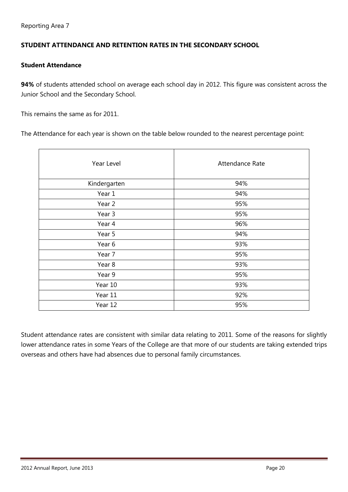#### **STUDENT ATTENDANCE AND RETENTION RATES IN THE SECONDARY SCHOOL**

#### **Student Attendance**

**94%** of students attended school on average each school day in 2012. This figure was consistent across the Junior School and the Secondary School.

This remains the same as for 2011.

The Attendance for each year is shown on the table below rounded to the nearest percentage point:

| Year Level   | Attendance Rate |
|--------------|-----------------|
| Kindergarten | 94%             |
| Year 1       | 94%             |
| Year 2       | 95%             |
| Year 3       | 95%             |
| Year 4       | 96%             |
| Year 5       | 94%             |
| Year 6       | 93%             |
| Year 7       | 95%             |
| Year 8       | 93%             |
| Year 9       | 95%             |
| Year 10      | 93%             |
| Year 11      | 92%             |
| Year 12      | 95%             |
|              |                 |

Student attendance rates are consistent with similar data relating to 2011. Some of the reasons for slightly lower attendance rates in some Years of the College are that more of our students are taking extended trips overseas and others have had absences due to personal family circumstances.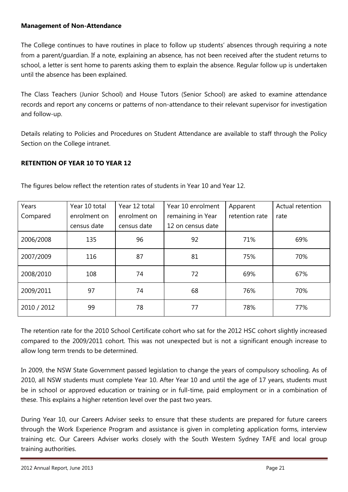#### **Management of Non-Attendance**

The College continues to have routines in place to follow up students' absences through requiring a note from a parent/guardian. If a note, explaining an absence, has not been received after the student returns to school, a letter is sent home to parents asking them to explain the absence. Regular follow up is undertaken until the absence has been explained.

The Class Teachers (Junior School) and House Tutors (Senior School) are asked to examine attendance records and report any concerns or patterns of non-attendance to their relevant supervisor for investigation and follow-up.

Details relating to Policies and Procedures on Student Attendance are available to staff through the Policy Section on the College intranet.

#### **RETENTION OF YEAR 10 TO YEAR 12**

| Years       | Year 10 total | Year 12 total | Year 10 enrolment | Apparent       | Actual retention |
|-------------|---------------|---------------|-------------------|----------------|------------------|
| Compared    | enrolment on  | enrolment on  | remaining in Year | retention rate | rate             |
|             | census date   | census date   | 12 on census date |                |                  |
| 2006/2008   | 135           | 96            | 92                | 71%            | 69%              |
| 2007/2009   | 116           | 87            | 81                | 75%            | 70%              |
| 2008/2010   | 108           | 74            | 72                | 69%            | 67%              |
| 2009/2011   | 97            | 74            | 68                | 76%            | 70%              |
| 2010 / 2012 | 99            | 78            | 77                | 78%            | 77%              |

The figures below reflect the retention rates of students in Year 10 and Year 12.

The retention rate for the 2010 School Certificate cohort who sat for the 2012 HSC cohort slightly increased compared to the 2009/2011 cohort. This was not unexpected but is not a significant enough increase to allow long term trends to be determined.

In 2009, the NSW State Government passed legislation to change the years of compulsory schooling. As of 2010, all NSW students must complete Year 10. After Year 10 and until the age of 17 years, students must be in school or approved education or training or in full-time, paid employment or in a combination of these. This explains a higher retention level over the past two years.

During Year 10, our Careers Adviser seeks to ensure that these students are prepared for future careers through the Work Experience Program and assistance is given in completing application forms, interview training etc. Our Careers Adviser works closely with the South Western Sydney TAFE and local group training authorities.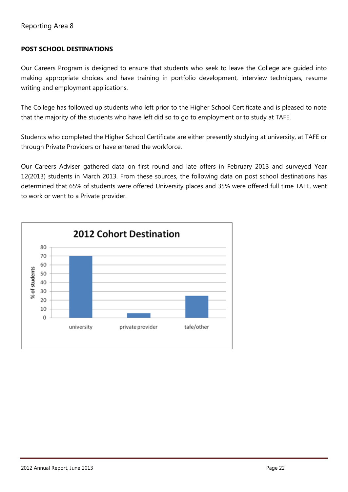#### **POST SCHOOL DESTINATIONS**

Our Careers Program is designed to ensure that students who seek to leave the College are guided into making appropriate choices and have training in portfolio development, interview techniques, resume writing and employment applications.

The College has followed up students who left prior to the Higher School Certificate and is pleased to note that the majority of the students who have left did so to go to employment or to study at TAFE.

Students who completed the Higher School Certificate are either presently studying at university, at TAFE or through Private Providers or have entered the workforce.

Our Careers Adviser gathered data on first round and late offers in February 2013 and surveyed Year 12(2013) students in March 2013. From these sources, the following data on post school destinations has determined that 65% of students were offered University places and 35% were offered full time TAFE, went to work or went to a Private provider.

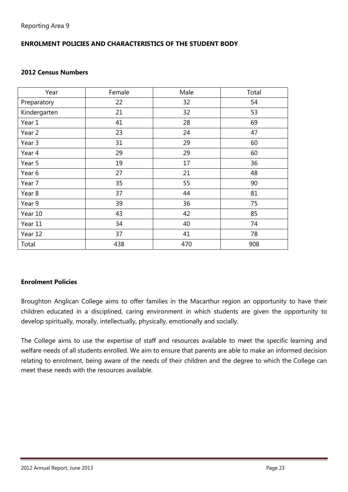## **ENROLMENT POLICIES AND CHARACTERISTICS OF THE STUDENT BODY**

#### **2012 Census Numbers**

| Year         | Female | Male | Total |
|--------------|--------|------|-------|
| Preparatory  | 22     | 32   | 54    |
| Kindergarten | 21     | 32   | 53    |
| Year 1       | 41     | 28   | 69    |
| Year 2       | 23     | 24   | 47    |
| Year 3       | 31     | 29   | 60    |
| Year 4       | 29     | 29   | 60    |
| Year 5       | 19     | 17   | 36    |
| Year 6       | 27     | 21   | 48    |
| Year 7       | 35     | 55   | 90    |
| Year 8       | 37     | 44   | 81    |
| Year 9       | 39     | 36   | 75    |
| Year 10      | 43     | 42   | 85    |
| Year 11      | 34     | 40   | 74    |
| Year 12      | 37     | 41   | 78    |
| Total        | 438    | 470  | 908   |

#### **Enrolment Policies**

Broughton Anglican College aims to offer families in the Macarthur region an opportunity to have their children educated in a disciplined, caring environment in which students are given the opportunity to develop spiritually, morally, intellectually, physically, emotionally and socially.

The College aims to use the expertise of staff and resources available to meet the specific learning and welfare needs of all students enrolled. We aim to ensure that parents are able to make an informed decision relating to enrolment, being aware of the needs of their children and the degree to which the College can meet these needs with the resources available.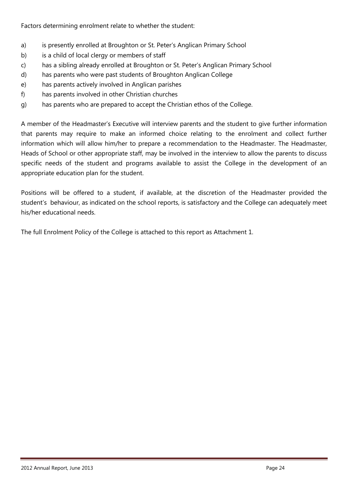Factors determining enrolment relate to whether the student:

- a) is presently enrolled at Broughton or St. Peter's Anglican Primary School
- b) is a child of local clergy or members of staff
- c) has a sibling already enrolled at Broughton or St. Peter's Anglican Primary School
- d) has parents who were past students of Broughton Anglican College
- e) has parents actively involved in Anglican parishes
- f) has parents involved in other Christian churches
- g) has parents who are prepared to accept the Christian ethos of the College.

A member of the Headmaster's Executive will interview parents and the student to give further information that parents may require to make an informed choice relating to the enrolment and collect further information which will allow him/her to prepare a recommendation to the Headmaster. The Headmaster, Heads of School or other appropriate staff, may be involved in the interview to allow the parents to discuss specific needs of the student and programs available to assist the College in the development of an appropriate education plan for the student.

Positions will be offered to a student, if available, at the discretion of the Headmaster provided the student's behaviour, as indicated on the school reports, is satisfactory and the College can adequately meet his/her educational needs.

The full Enrolment Policy of the College is attached to this report as Attachment 1.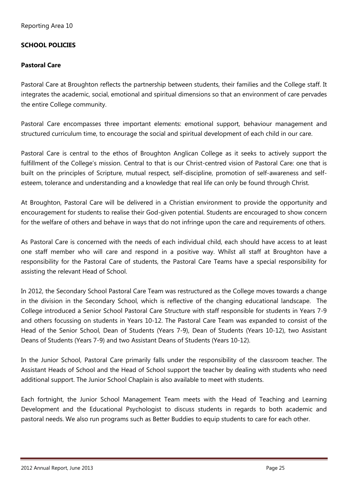#### **SCHOOL POLICIES**

#### **Pastoral Care**

Pastoral Care at Broughton reflects the partnership between students, their families and the College staff. It integrates the academic, social, emotional and spiritual dimensions so that an environment of care pervades the entire College community.

Pastoral Care encompasses three important elements: emotional support, behaviour management and structured curriculum time, to encourage the social and spiritual development of each child in our care.

Pastoral Care is central to the ethos of Broughton Anglican College as it seeks to actively support the fulfillment of the College's mission. Central to that is our Christ-centred vision of Pastoral Care: one that is built on the principles of Scripture, mutual respect, self-discipline, promotion of self-awareness and selfesteem, tolerance and understanding and a knowledge that real life can only be found through Christ.

At Broughton, Pastoral Care will be delivered in a Christian environment to provide the opportunity and encouragement for students to realise their God-given potential. Students are encouraged to show concern for the welfare of others and behave in ways that do not infringe upon the care and requirements of others.

As Pastoral Care is concerned with the needs of each individual child, each should have access to at least one staff member who will care and respond in a positive way. Whilst all staff at Broughton have a responsibility for the Pastoral Care of students, the Pastoral Care Teams have a special responsibility for assisting the relevant Head of School.

In 2012, the Secondary School Pastoral Care Team was restructured as the College moves towards a change in the division in the Secondary School, which is reflective of the changing educational landscape. The College introduced a Senior School Pastoral Care Structure with staff responsible for students in Years 7-9 and others focussing on students in Years 10-12. The Pastoral Care Team was expanded to consist of the Head of the Senior School, Dean of Students (Years 7-9), Dean of Students (Years 10-12), two Assistant Deans of Students (Years 7-9) and two Assistant Deans of Students (Years 10-12).

In the Junior School, Pastoral Care primarily falls under the responsibility of the classroom teacher. The Assistant Heads of School and the Head of School support the teacher by dealing with students who need additional support. The Junior School Chaplain is also available to meet with students.

Each fortnight, the Junior School Management Team meets with the Head of Teaching and Learning Development and the Educational Psychologist to discuss students in regards to both academic and pastoral needs. We also run programs such as Better Buddies to equip students to care for each other.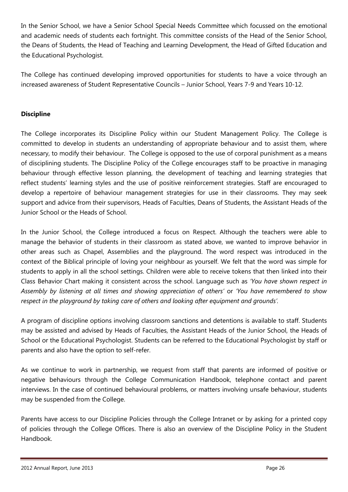In the Senior School, we have a Senior School Special Needs Committee which focussed on the emotional and academic needs of students each fortnight. This committee consists of the Head of the Senior School, the Deans of Students, the Head of Teaching and Learning Development, the Head of Gifted Education and the Educational Psychologist.

The College has continued developing improved opportunities for students to have a voice through an increased awareness of Student Representative Councils – Junior School, Years 7-9 and Years 10-12.

#### **Discipline**

The College incorporates its Discipline Policy within our Student Management Policy. The College is committed to develop in students an understanding of appropriate behaviour and to assist them, where necessary, to modify their behaviour. The College is opposed to the use of corporal punishment as a means of disciplining students. The Discipline Policy of the College encourages staff to be proactive in managing behaviour through effective lesson planning, the development of teaching and learning strategies that reflect students' learning styles and the use of positive reinforcement strategies. Staff are encouraged to develop a repertoire of behaviour management strategies for use in their classrooms. They may seek support and advice from their supervisors, Heads of Faculties, Deans of Students, the Assistant Heads of the Junior School or the Heads of School.

In the Junior School, the College introduced a focus on Respect. Although the teachers were able to manage the behavior of students in their classroom as stated above, we wanted to improve behavior in other areas such as Chapel, Assemblies and the playground. The word respect was introduced in the context of the Biblical principle of loving your neighbour as yourself. We felt that the word was simple for students to apply in all the school settings. Children were able to receive tokens that then linked into their Class Behavior Chart making it consistent across the school. Language such as *'You have shown respect in Assembly by listening at all times and showing appreciation of others'* or *'You have remembered to show respect in the playground by taking care of others and looking after equipment and grounds'.*

A program of discipline options involving classroom sanctions and detentions is available to staff. Students may be assisted and advised by Heads of Faculties, the Assistant Heads of the Junior School, the Heads of School or the Educational Psychologist. Students can be referred to the Educational Psychologist by staff or parents and also have the option to self-refer.

As we continue to work in partnership, we request from staff that parents are informed of positive or negative behaviours through the College Communication Handbook, telephone contact and parent interviews. In the case of continued behavioural problems, or matters involving unsafe behaviour, students may be suspended from the College.

Parents have access to our Discipline Policies through the College Intranet or by asking for a printed copy of policies through the College Offices. There is also an overview of the Discipline Policy in the Student Handbook.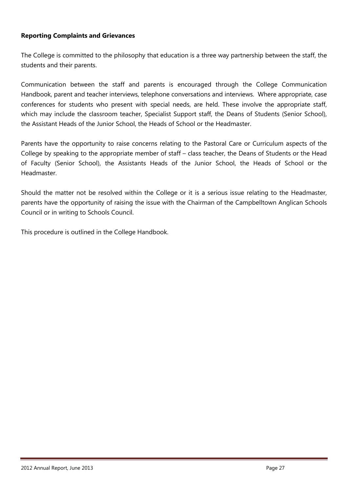#### **Reporting Complaints and Grievances**

The College is committed to the philosophy that education is a three way partnership between the staff, the students and their parents.

Communication between the staff and parents is encouraged through the College Communication Handbook, parent and teacher interviews, telephone conversations and interviews. Where appropriate, case conferences for students who present with special needs, are held. These involve the appropriate staff, which may include the classroom teacher, Specialist Support staff, the Deans of Students (Senior School), the Assistant Heads of the Junior School, the Heads of School or the Headmaster.

Parents have the opportunity to raise concerns relating to the Pastoral Care or Curriculum aspects of the College by speaking to the appropriate member of staff – class teacher, the Deans of Students or the Head of Faculty (Senior School), the Assistants Heads of the Junior School, the Heads of School or the Headmaster.

Should the matter not be resolved within the College or it is a serious issue relating to the Headmaster, parents have the opportunity of raising the issue with the Chairman of the Campbelltown Anglican Schools Council or in writing to Schools Council.

This procedure is outlined in the College Handbook.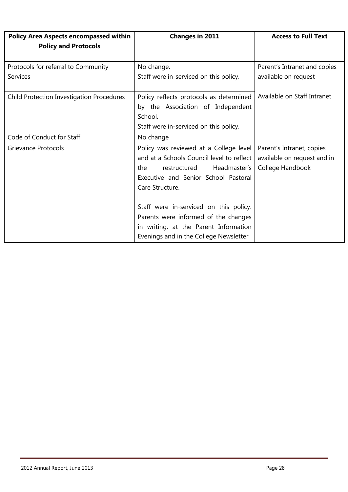| <b>Policy Area Aspects encompassed within</b><br><b>Policy and Protocols</b> | <b>Changes in 2011</b>                                                                                                                                                                | <b>Access to Full Text</b>                                                   |
|------------------------------------------------------------------------------|---------------------------------------------------------------------------------------------------------------------------------------------------------------------------------------|------------------------------------------------------------------------------|
| Protocols for referral to Community<br><b>Services</b>                       | No change.<br>Staff were in-serviced on this policy.                                                                                                                                  | Parent's Intranet and copies<br>available on request                         |
| <b>Child Protection Investigation Procedures</b>                             | Policy reflects protocols as determined<br>by the Association of Independent<br>School.<br>Staff were in-serviced on this policy.                                                     | Available on Staff Intranet                                                  |
| Code of Conduct for Staff                                                    | No change                                                                                                                                                                             |                                                                              |
| <b>Grievance Protocols</b>                                                   | Policy was reviewed at a College level<br>and at a Schools Council level to reflect<br>Headmaster's<br>restructured<br>the<br>Executive and Senior School Pastoral<br>Care Structure. | Parent's Intranet, copies<br>available on request and in<br>College Handbook |
|                                                                              | Staff were in-serviced on this policy.<br>Parents were informed of the changes<br>in writing, at the Parent Information<br>Evenings and in the College Newsletter                     |                                                                              |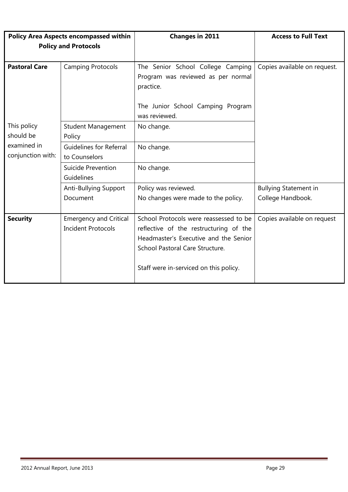|                                                            | <b>Changes in 2011</b>                                                                                                                                                                                 | <b>Access to Full Text</b>   |
|------------------------------------------------------------|--------------------------------------------------------------------------------------------------------------------------------------------------------------------------------------------------------|------------------------------|
|                                                            |                                                                                                                                                                                                        |                              |
|                                                            |                                                                                                                                                                                                        |                              |
| <b>Camping Protocols</b>                                   | The Senior School College Camping<br>Program was reviewed as per normal<br>practice.                                                                                                                   | Copies available on request. |
|                                                            | The Junior School Camping Program<br>was reviewed.                                                                                                                                                     |                              |
| <b>Student Management</b><br>Policy                        | No change.                                                                                                                                                                                             |                              |
| <b>Guidelines for Referral</b><br>to Counselors            | No change.                                                                                                                                                                                             |                              |
| Suicide Prevention<br>Guidelines                           | No change.                                                                                                                                                                                             |                              |
| Anti-Bullying Support                                      | Policy was reviewed.                                                                                                                                                                                   | <b>Bullying Statement in</b> |
| Document                                                   | No changes were made to the policy.                                                                                                                                                                    | College Handbook.            |
| <b>Emergency and Critical</b><br><b>Incident Protocols</b> | School Protocols were reassessed to be<br>reflective of the restructuring of the<br>Headmaster's Executive and the Senior<br>School Pastoral Care Structure.<br>Staff were in-serviced on this policy. | Copies available on request  |
|                                                            | <b>Policy Area Aspects encompassed within</b><br><b>Policy and Protocols</b>                                                                                                                           |                              |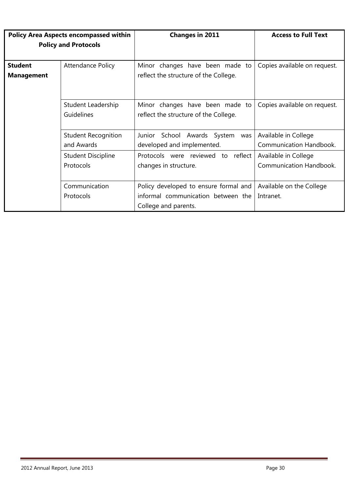| <b>Policy Area Aspects encompassed within</b> |                             | <b>Changes in 2011</b>                | <b>Access to Full Text</b>     |
|-----------------------------------------------|-----------------------------|---------------------------------------|--------------------------------|
|                                               | <b>Policy and Protocols</b> |                                       |                                |
|                                               |                             |                                       |                                |
| <b>Student</b>                                | <b>Attendance Policy</b>    | Minor changes have been made to       | Copies available on request.   |
| <b>Management</b>                             |                             | reflect the structure of the College. |                                |
|                                               |                             |                                       |                                |
|                                               |                             |                                       |                                |
|                                               | Student Leadership          | Minor changes have been made to       | Copies available on request.   |
|                                               | Guidelines                  | reflect the structure of the College. |                                |
|                                               |                             |                                       |                                |
| <b>Student Recognition</b>                    |                             | School Awards System<br>Junior<br>was | Available in College           |
|                                               | and Awards                  | developed and implemented.            | <b>Communication Handbook.</b> |
|                                               | <b>Student Discipline</b>   | Protocols were reviewed to reflect    | Available in College           |
|                                               | Protocols                   | changes in structure.                 | <b>Communication Handbook.</b> |
|                                               |                             |                                       |                                |
| Communication                                 |                             | Policy developed to ensure formal and | Available on the College       |
|                                               | Protocols                   | informal communication between the    | Intranet.                      |
|                                               |                             | College and parents.                  |                                |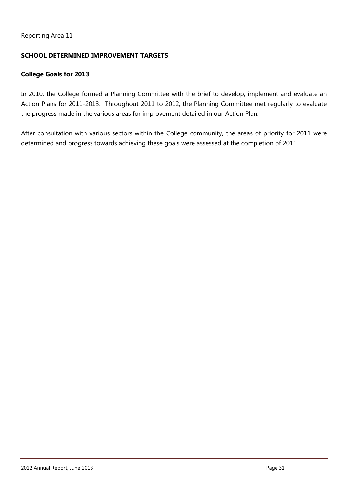#### Reporting Area 11

#### **SCHOOL DETERMINED IMPROVEMENT TARGETS**

#### **College Goals for 2013**

In 2010, the College formed a Planning Committee with the brief to develop, implement and evaluate an Action Plans for 2011-2013. Throughout 2011 to 2012, the Planning Committee met regularly to evaluate the progress made in the various areas for improvement detailed in our Action Plan.

After consultation with various sectors within the College community, the areas of priority for 2011 were determined and progress towards achieving these goals were assessed at the completion of 2011.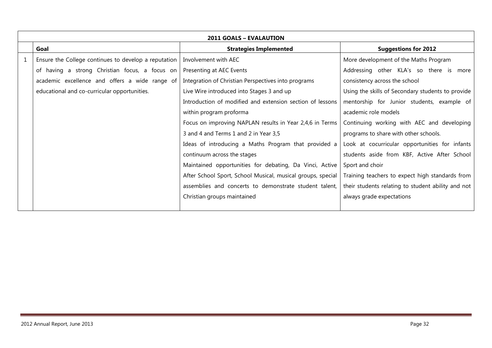| <b>2011 GOALS - EVALAUTION</b>                       |                                                             |                                                    |  |  |  |
|------------------------------------------------------|-------------------------------------------------------------|----------------------------------------------------|--|--|--|
| Goal                                                 | <b>Strategies Implemented</b>                               | <b>Suggestions for 2012</b>                        |  |  |  |
| Ensure the College continues to develop a reputation | Involvement with AEC                                        | More development of the Maths Program              |  |  |  |
| of having a strong Christian focus, a focus on       | Presenting at AEC Events                                    | Addressing other KLA's so there is more            |  |  |  |
| academic excellence and offers a wide range of       | Integration of Christian Perspectives into programs         | consistency across the school                      |  |  |  |
| educational and co-curricular opportunities.         | Live Wire introduced into Stages 3 and up                   | Using the skills of Secondary students to provide  |  |  |  |
|                                                      | Introduction of modified and extension section of lessons   | mentorship for Junior students, example of         |  |  |  |
|                                                      | within program proforma                                     | academic role models                               |  |  |  |
|                                                      | Focus on improving NAPLAN results in Year 2,4,6 in Terms    | Continuing working with AEC and developing         |  |  |  |
|                                                      | 3 and 4 and Terms 1 and 2 in Year 3,5                       | programs to share with other schools.              |  |  |  |
|                                                      | Ideas of introducing a Maths Program that provided a        | Look at cocurricular opportunities for infants     |  |  |  |
|                                                      | continuum across the stages                                 | students aside from KBF, Active After School       |  |  |  |
|                                                      | Maintained opportunities for debating, Da Vinci, Active     | Sport and choir                                    |  |  |  |
|                                                      | After School Sport, School Musical, musical groups, special | Training teachers to expect high standards from    |  |  |  |
|                                                      | assemblies and concerts to demonstrate student talent,      | their students relating to student ability and not |  |  |  |
|                                                      | Christian groups maintained                                 | always grade expectations                          |  |  |  |
|                                                      |                                                             |                                                    |  |  |  |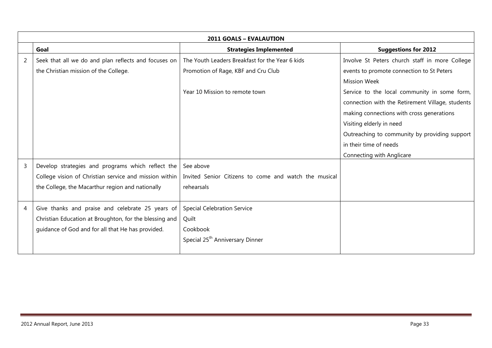|   | <b>2011 GOALS - EVALAUTION</b>                         |                                                       |                                                  |  |
|---|--------------------------------------------------------|-------------------------------------------------------|--------------------------------------------------|--|
|   | Goal                                                   | <b>Strategies Implemented</b>                         | <b>Suggestions for 2012</b>                      |  |
| 2 | Seek that all we do and plan reflects and focuses on   | The Youth Leaders Breakfast for the Year 6 kids       | Involve St Peters church staff in more College   |  |
|   | the Christian mission of the College.                  | Promotion of Rage, KBF and Cru Club                   | events to promote connection to St Peters        |  |
|   |                                                        |                                                       | <b>Mission Week</b>                              |  |
|   |                                                        | Year 10 Mission to remote town                        | Service to the local community in some form,     |  |
|   |                                                        |                                                       | connection with the Retirement Village, students |  |
|   |                                                        |                                                       | making connections with cross generations        |  |
|   |                                                        |                                                       | Visiting elderly in need                         |  |
|   |                                                        |                                                       | Outreaching to community by providing support    |  |
|   |                                                        |                                                       | in their time of needs                           |  |
|   |                                                        |                                                       | Connecting with Anglicare                        |  |
| 3 | Develop strategies and programs which reflect the      | See above                                             |                                                  |  |
|   | College vision of Christian service and mission within | Invited Senior Citizens to come and watch the musical |                                                  |  |
|   | the College, the Macarthur region and nationally       | rehearsals                                            |                                                  |  |
|   |                                                        |                                                       |                                                  |  |
| 4 | Give thanks and praise and celebrate 25 years of       | <b>Special Celebration Service</b>                    |                                                  |  |
|   | Christian Education at Broughton, for the blessing and | Quilt                                                 |                                                  |  |
|   | guidance of God and for all that He has provided.      | Cookbook                                              |                                                  |  |
|   |                                                        | Special 25 <sup>th</sup> Anniversary Dinner           |                                                  |  |
|   |                                                        |                                                       |                                                  |  |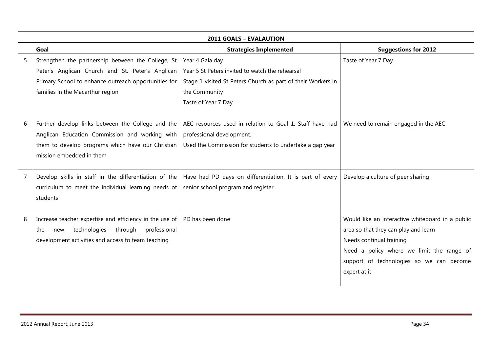|   | <b>2011 GOALS - EVALAUTION</b>                          |                                                              |                                                  |  |
|---|---------------------------------------------------------|--------------------------------------------------------------|--------------------------------------------------|--|
|   | Goal                                                    | <b>Strategies Implemented</b>                                | <b>Suggestions for 2012</b>                      |  |
| 5 | Strengthen the partnership between the College, St      | Year 4 Gala day                                              | Taste of Year 7 Day                              |  |
|   | Peter's Anglican Church and St. Peter's Anglican        | Year 5 St Peters invited to watch the rehearsal              |                                                  |  |
|   | Primary School to enhance outreach opportunities for    | Stage 1 visited St Peters Church as part of their Workers in |                                                  |  |
|   | families in the Macarthur region                        | the Community                                                |                                                  |  |
|   |                                                         | Taste of Year 7 Day                                          |                                                  |  |
|   |                                                         |                                                              |                                                  |  |
| 6 | Further develop links between the College and the       | AEC resources used in relation to Goal 1. Staff have had     | We need to remain engaged in the AEC             |  |
|   | Anglican Education Commission and working with          | professional development.                                    |                                                  |  |
|   | them to develop programs which have our Christian       | Used the Commission for students to undertake a gap year     |                                                  |  |
|   | mission embedded in them                                |                                                              |                                                  |  |
|   |                                                         |                                                              |                                                  |  |
| 7 | Develop skills in staff in the differentiation of the   | Have had PD days on differentiation. It is part of every     | Develop a culture of peer sharing                |  |
|   | curriculum to meet the individual learning needs of     | senior school program and register                           |                                                  |  |
|   | students                                                |                                                              |                                                  |  |
|   |                                                         |                                                              |                                                  |  |
| 8 | Increase teacher expertise and efficiency in the use of | PD has been done                                             | Would like an interactive whiteboard in a public |  |
|   | technologies through<br>professional<br>the<br>new      |                                                              | area so that they can play and learn             |  |
|   | development activities and access to team teaching      |                                                              | Needs continual training                         |  |
|   |                                                         |                                                              | Need a policy where we limit the range of        |  |
|   |                                                         |                                                              | support of technologies so we can become         |  |
|   |                                                         |                                                              | expert at it                                     |  |
|   |                                                         |                                                              |                                                  |  |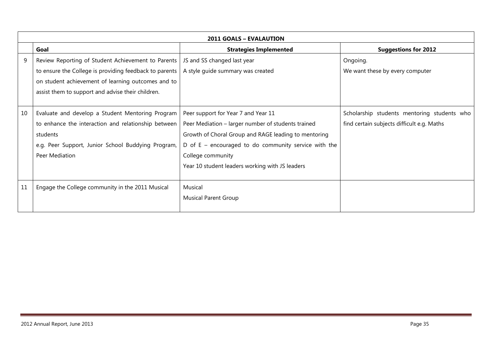|    | <b>2011 GOALS - EVALAUTION</b>                         |                                                        |                                             |  |
|----|--------------------------------------------------------|--------------------------------------------------------|---------------------------------------------|--|
|    | Goal                                                   | <b>Strategies Implemented</b>                          | <b>Suggestions for 2012</b>                 |  |
| 9  | Review Reporting of Student Achievement to Parents     | JS and SS changed last year                            | Ongoing.                                    |  |
|    | to ensure the College is providing feedback to parents | A style guide summary was created                      | We want these by every computer             |  |
|    | on student achievement of learning outcomes and to     |                                                        |                                             |  |
|    | assist them to support and advise their children.      |                                                        |                                             |  |
|    |                                                        |                                                        |                                             |  |
| 10 | Evaluate and develop a Student Mentoring Program       | Peer support for Year 7 and Year 11                    | Scholarship students mentoring students who |  |
|    | to enhance the interaction and relationship between    | Peer Mediation - larger number of students trained     | find certain subjects difficult e.g. Maths  |  |
|    | students                                               | Growth of Choral Group and RAGE leading to mentoring   |                                             |  |
|    | e.g. Peer Support, Junior School Buddying Program,     | D of $E$ – encouraged to do community service with the |                                             |  |
|    | Peer Mediation                                         | College community                                      |                                             |  |
|    |                                                        | Year 10 student leaders working with JS leaders        |                                             |  |
|    |                                                        |                                                        |                                             |  |
| 11 | Engage the College community in the 2011 Musical       | Musical                                                |                                             |  |
|    |                                                        | <b>Musical Parent Group</b>                            |                                             |  |
|    |                                                        |                                                        |                                             |  |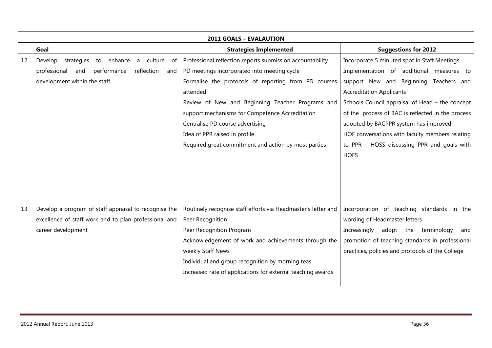|    | <b>2011 GOALS - EVALAUTION</b>                                |                                                               |                                                   |  |
|----|---------------------------------------------------------------|---------------------------------------------------------------|---------------------------------------------------|--|
|    | Goal                                                          | <b>Strategies Implemented</b>                                 | <b>Suggestions for 2012</b>                       |  |
| 12 | strategies<br>to<br>enhance<br>Develop<br>culture<br>.of<br>a | Professional reflection reports submission accountability     | Incorporate 5 minuted spot in Staff Meetings      |  |
|    | performance<br>reflection<br>professional<br>and<br>and       | PD meetings incorporated into meeting cycle                   | Implementation of additional measures to          |  |
|    | development within the staff                                  | Formalise the protocols of reporting from PD courses          | support New and Beginning Teachers and            |  |
|    |                                                               | attended                                                      | <b>Accreditation Applicants</b>                   |  |
|    |                                                               | Review of New and Beginning Teacher Programs and              | Schools Council appraisal of Head - the concept   |  |
|    |                                                               | support mechanisms for Competence Accreditation               | of the process of BAC is reflected in the process |  |
|    |                                                               | Centralise PD course advertising                              | adopted by BACPPR system has improved             |  |
|    |                                                               | Idea of PPR raised in profile                                 | HOF conversations with faculty members relating   |  |
|    |                                                               | Required great commitment and action by most parties          | to PPR - HOSS discussing PPR and goals with       |  |
|    |                                                               |                                                               | <b>HOFS</b>                                       |  |
|    |                                                               |                                                               |                                                   |  |
|    |                                                               |                                                               |                                                   |  |
|    |                                                               |                                                               |                                                   |  |
|    |                                                               |                                                               |                                                   |  |
| 13 | Develop a program of staff appraisal to recognise the         | Routinely recognise staff efforts via Headmaster's letter and | Incorporation of teaching standards in the        |  |
|    | excellence of staff work and to plan professional and         | Peer Recognition                                              | wording of Headmaster letters                     |  |
|    | career development                                            | Peer Recognition Program                                      | Increasingly<br>adopt the terminology<br>and      |  |
|    |                                                               | Acknowledgement of work and achievements through the          | promotion of teaching standards in professional   |  |
|    |                                                               | weekly Staff News                                             | practices, policies and protocols of the College  |  |
|    |                                                               | Individual and group recognition by morning teas              |                                                   |  |
|    |                                                               | Increased rate of applications for external teaching awards   |                                                   |  |
|    |                                                               |                                                               |                                                   |  |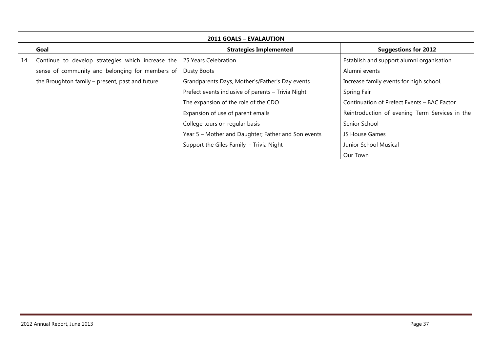| <b>2011 GOALS – EVALAUTION</b> |                                                   |                                                     |                                                |
|--------------------------------|---------------------------------------------------|-----------------------------------------------------|------------------------------------------------|
|                                | Goal                                              | <b>Strategies Implemented</b>                       | <b>Suggestions for 2012</b>                    |
| 14                             | Continue to develop strategies which increase the | 25 Years Celebration                                | Establish and support alumni organisation      |
|                                | sense of community and belonging for members of   | Dusty Boots                                         | Alumni events                                  |
|                                | the Broughton family – present, past and future   | Grandparents Days, Mother's/Father's Day events     | Increase family events for high school.        |
|                                |                                                   | Prefect events inclusive of parents - Trivia Night  | Spring Fair                                    |
|                                |                                                   | The expansion of the role of the CDO                | Continuation of Prefect Events - BAC Factor    |
|                                |                                                   | Expansion of use of parent emails                   | Reintroduction of evening Term Services in the |
|                                |                                                   | College tours on regular basis                      | Senior School                                  |
|                                |                                                   | Year 5 - Mother and Daughter; Father and Son events | JS House Games                                 |
|                                |                                                   | Support the Giles Family - Trivia Night             | Junior School Musical                          |
|                                |                                                   |                                                     | Our Town                                       |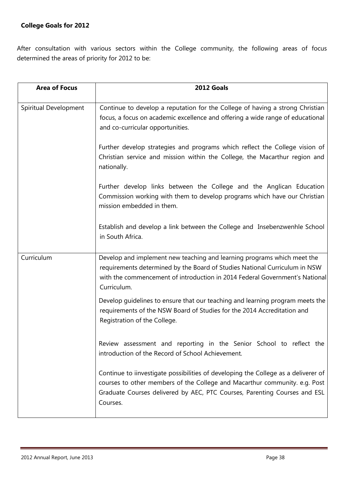# **College Goals for 2012**

After consultation with various sectors within the College community, the following areas of focus determined the areas of priority for 2012 to be:

| <b>Area of Focus</b>  | 2012 Goals                                                                                                                                                                                                                                                |
|-----------------------|-----------------------------------------------------------------------------------------------------------------------------------------------------------------------------------------------------------------------------------------------------------|
| Spiritual Development | Continue to develop a reputation for the College of having a strong Christian<br>focus, a focus on academic excellence and offering a wide range of educational<br>and co-curricular opportunities.                                                       |
|                       | Further develop strategies and programs which reflect the College vision of<br>Christian service and mission within the College, the Macarthur region and<br>nationally.                                                                                  |
|                       | Further develop links between the College and the Anglican Education<br>Commission working with them to develop programs which have our Christian<br>mission embedded in them.                                                                            |
|                       | Establish and develop a link between the College and Insebenzwenhle School<br>in South Africa.                                                                                                                                                            |
| Curriculum            | Develop and implement new teaching and learning programs which meet the<br>requirements determined by the Board of Studies National Curriculum in NSW<br>with the commencement of introduction in 2014 Federal Government's National<br>Curriculum.       |
|                       | Develop guidelines to ensure that our teaching and learning program meets the<br>requirements of the NSW Board of Studies for the 2014 Accreditation and<br>Registration of the College.                                                                  |
|                       | Review assessment and reporting in the Senior School to reflect the<br>introduction of the Record of School Achievement.                                                                                                                                  |
|                       | Continue to iinvestigate possibilities of developing the College as a deliverer of<br>courses to other members of the College and Macarthur community. e.g. Post<br>Graduate Courses delivered by AEC, PTC Courses, Parenting Courses and ESL<br>Courses. |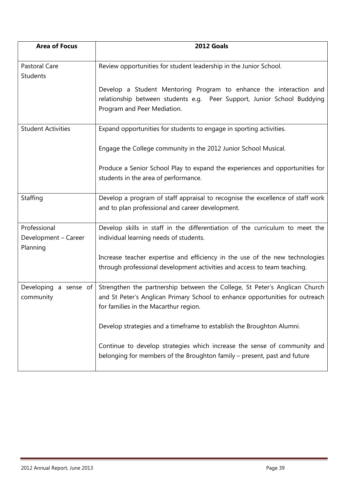| <b>Area of Focus</b>                             | 2012 Goals                                                                                                                                                                                          |  |
|--------------------------------------------------|-----------------------------------------------------------------------------------------------------------------------------------------------------------------------------------------------------|--|
| Pastoral Care<br><b>Students</b>                 | Review opportunities for student leadership in the Junior School.                                                                                                                                   |  |
|                                                  | Develop a Student Mentoring Program to enhance the interaction and<br>relationship between students e.g. Peer Support, Junior School Buddying<br>Program and Peer Mediation.                        |  |
| <b>Student Activities</b>                        | Expand opportunities for students to engage in sporting activities.                                                                                                                                 |  |
|                                                  | Engage the College community in the 2012 Junior School Musical.                                                                                                                                     |  |
|                                                  | Produce a Senior School Play to expand the experiences and opportunities for<br>students in the area of performance.                                                                                |  |
| Staffing                                         | Develop a program of staff appraisal to recognise the excellence of staff work<br>and to plan professional and career development.                                                                  |  |
| Professional<br>Development - Career<br>Planning | Develop skills in staff in the differentiation of the curriculum to meet the<br>individual learning needs of students.                                                                              |  |
|                                                  | Increase teacher expertise and efficiency in the use of the new technologies<br>through professional development activities and access to team teaching.                                            |  |
| Developing a sense of<br>community               | Strengthen the partnership between the College, St Peter's Anglican Church<br>and St Peter's Anglican Primary School to enhance opportunities for outreach<br>for families in the Macarthur region. |  |
|                                                  | Develop strategies and a timeframe to establish the Broughton Alumni.                                                                                                                               |  |
|                                                  | Continue to develop strategies which increase the sense of community and<br>belonging for members of the Broughton family – present, past and future                                                |  |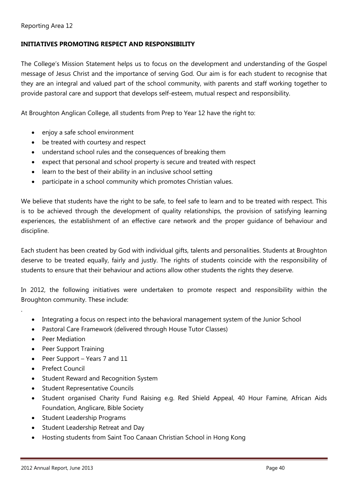#### **INITIATIVES PROMOTING RESPECT AND RESPONSIBILITY**

The College's Mission Statement helps us to focus on the development and understanding of the Gospel message of Jesus Christ and the importance of serving God. Our aim is for each student to recognise that they are an integral and valued part of the school community, with parents and staff working together to provide pastoral care and support that develops self-esteem, mutual respect and responsibility.

At Broughton Anglican College, all students from Prep to Year 12 have the right to:

- enjoy a safe school environment
- be treated with courtesy and respect
- understand school rules and the consequences of breaking them
- expect that personal and school property is secure and treated with respect
- learn to the best of their ability in an inclusive school setting
- participate in a school community which promotes Christian values.

We believe that students have the right to be safe, to feel safe to learn and to be treated with respect. This is to be achieved through the development of quality relationships, the provision of satisfying learning experiences, the establishment of an effective care network and the proper guidance of behaviour and discipline.

Each student has been created by God with individual gifts, talents and personalities. Students at Broughton deserve to be treated equally, fairly and justly. The rights of students coincide with the responsibility of students to ensure that their behaviour and actions allow other students the rights they deserve.

In 2012, the following initiatives were undertaken to promote respect and responsibility within the Broughton community. These include:

- Integrating a focus on respect into the behavioral management system of the Junior School
- Pastoral Care Framework (delivered through House Tutor Classes)
- Peer Mediation

.

- Peer Support Training
- Peer Support Years 7 and 11
- Prefect Council
- Student Reward and Recognition System
- Student Representative Councils
- Student organised Charity Fund Raising e.g. Red Shield Appeal, 40 Hour Famine, African Aids Foundation, Anglicare, Bible Society
- Student Leadership Programs
- Student Leadership Retreat and Day
- Hosting students from Saint Too Canaan Christian School in Hong Kong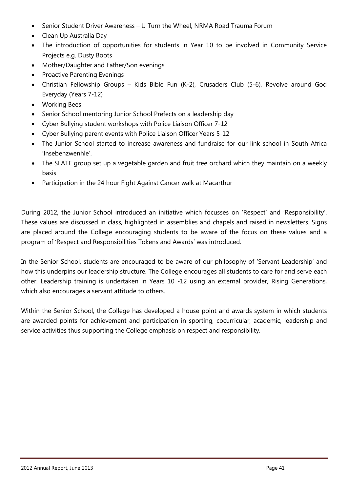- Senior Student Driver Awareness U Turn the Wheel, NRMA Road Trauma Forum
- Clean Up Australia Day
- The introduction of opportunities for students in Year 10 to be involved in Community Service Projects e.g. Dusty Boots
- Mother/Daughter and Father/Son evenings
- Proactive Parenting Evenings
- Christian Fellowship Groups Kids Bible Fun (K-2), Crusaders Club (5-6), Revolve around God Everyday (Years 7-12)
- Working Bees
- Senior School mentoring Junior School Prefects on a leadership day
- Cyber Bullying student workshops with Police Liaison Officer 7-12
- Cyber Bullying parent events with Police Liaison Officer Years 5-12
- The Junior School started to increase awareness and fundraise for our link school in South Africa 'Insebenzwenhle'.
- The SLATE group set up a vegetable garden and fruit tree orchard which they maintain on a weekly basis
- Participation in the 24 hour Fight Against Cancer walk at Macarthur

During 2012, the Junior School introduced an initiative which focusses on 'Respect' and 'Responsibility'. These values are discussed in class, highlighted in assemblies and chapels and raised in newsletters. Signs are placed around the College encouraging students to be aware of the focus on these values and a program of 'Respect and Responsibilities Tokens and Awards' was introduced.

In the Senior School, students are encouraged to be aware of our philosophy of 'Servant Leadership' and how this underpins our leadership structure. The College encourages all students to care for and serve each other. Leadership training is undertaken in Years 10 -12 using an external provider, Rising Generations, which also encourages a servant attitude to others.

Within the Senior School, the College has developed a house point and awards system in which students are awarded points for achievement and participation in sporting, cocurricular, academic, leadership and service activities thus supporting the College emphasis on respect and responsibility.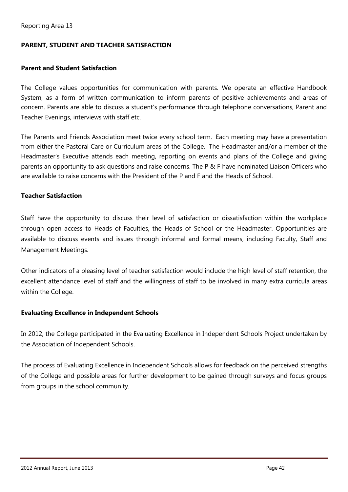#### **PARENT, STUDENT AND TEACHER SATISFACTION**

#### **Parent and Student Satisfaction**

The College values opportunities for communication with parents. We operate an effective Handbook System, as a form of written communication to inform parents of positive achievements and areas of concern. Parents are able to discuss a student's performance through telephone conversations, Parent and Teacher Evenings, interviews with staff etc.

The Parents and Friends Association meet twice every school term. Each meeting may have a presentation from either the Pastoral Care or Curriculum areas of the College. The Headmaster and/or a member of the Headmaster's Executive attends each meeting, reporting on events and plans of the College and giving parents an opportunity to ask questions and raise concerns. The P & F have nominated Liaison Officers who are available to raise concerns with the President of the P and F and the Heads of School.

#### **Teacher Satisfaction**

Staff have the opportunity to discuss their level of satisfaction or dissatisfaction within the workplace through open access to Heads of Faculties, the Heads of School or the Headmaster. Opportunities are available to discuss events and issues through informal and formal means, including Faculty, Staff and Management Meetings.

Other indicators of a pleasing level of teacher satisfaction would include the high level of staff retention, the excellent attendance level of staff and the willingness of staff to be involved in many extra curricula areas within the College.

#### **Evaluating Excellence in Independent Schools**

In 2012, the College participated in the Evaluating Excellence in Independent Schools Project undertaken by the Association of Independent Schools.

The process of Evaluating Excellence in Independent Schools allows for feedback on the perceived strengths of the College and possible areas for further development to be gained through surveys and focus groups from groups in the school community.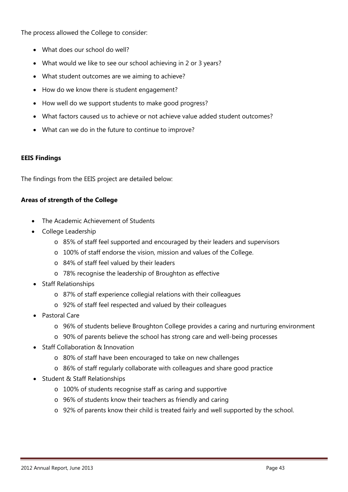The process allowed the College to consider:

- What does our school do well?
- What would we like to see our school achieving in 2 or 3 years?
- What student outcomes are we aiming to achieve?
- How do we know there is student engagement?
- How well do we support students to make good progress?
- What factors caused us to achieve or not achieve value added student outcomes?
- What can we do in the future to continue to improve?

#### **EEIS Findings**

The findings from the EEIS project are detailed below:

#### **Areas of strength of the College**

- The Academic Achievement of Students
- College Leadership
	- o 85% of staff feel supported and encouraged by their leaders and supervisors
	- o 100% of staff endorse the vision, mission and values of the College.
	- o 84% of staff feel valued by their leaders
	- o 78% recognise the leadership of Broughton as effective
- Staff Relationships
	- o 87% of staff experience collegial relations with their colleagues
	- o 92% of staff feel respected and valued by their colleagues
- Pastoral Care
	- o 96% of students believe Broughton College provides a caring and nurturing environment
	- o 90% of parents believe the school has strong care and well-being processes
- Staff Collaboration & Innovation
	- o 80% of staff have been encouraged to take on new challenges
	- o 86% of staff regularly collaborate with colleagues and share good practice
- Student & Staff Relationships
	- o 100% of students recognise staff as caring and supportive
	- o 96% of students know their teachers as friendly and caring
	- o 92% of parents know their child is treated fairly and well supported by the school.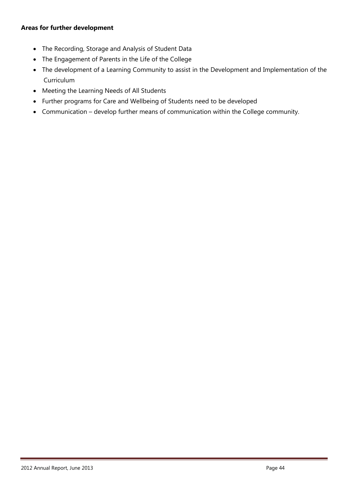#### **Areas for further development**

- The Recording, Storage and Analysis of Student Data
- The Engagement of Parents in the Life of the College
- The development of a Learning Community to assist in the Development and Implementation of the **Curriculum**
- Meeting the Learning Needs of All Students
- Further programs for Care and Wellbeing of Students need to be developed
- Communication develop further means of communication within the College community.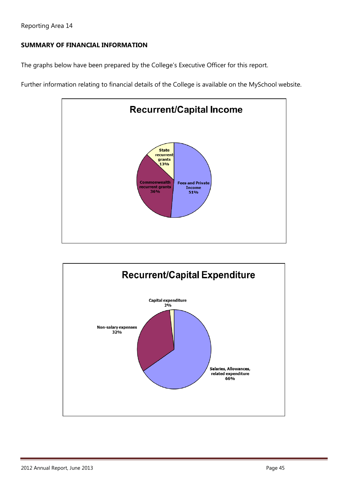# **SUMMARY OF FINANCIAL INFORMATION**

The graphs below have been prepared by the College's Executive Officer for this report.

Further information relating to financial details of the College is available on the MySchool website.



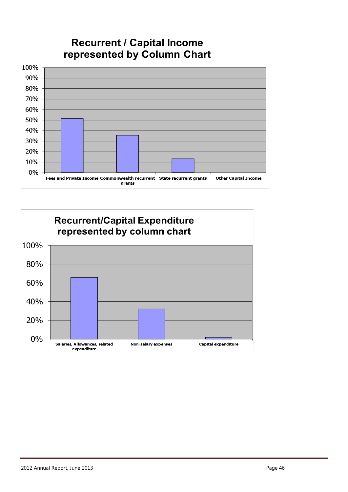

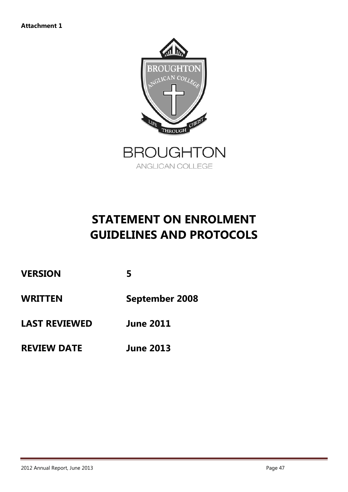

# **STATEMENT ON ENROLMENT GUIDELINES AND PROTOCOLS**

| <b>WRITTEN</b> | <b>September 2008</b> |
|----------------|-----------------------|
| <b>VERSION</b> | 5                     |

- **LAST REVIEWED June 2011**
- **REVIEW DATE June 2013**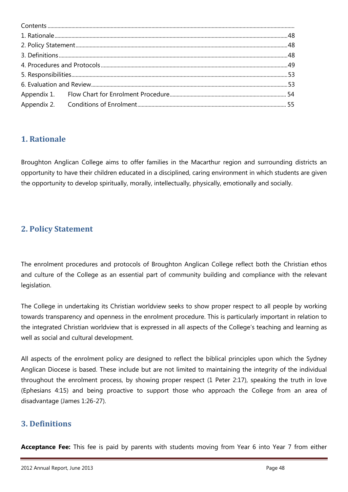# <span id="page-48-0"></span>**1. Rationale**

Broughton Anglican College aims to offer families in the Macarthur region and surrounding districts an opportunity to have their children educated in a disciplined, caring environment in which students are given the opportunity to develop spiritually, morally, intellectually, physically, emotionally and socially.

# <span id="page-48-1"></span>**2. Policy Statement**

The enrolment procedures and protocols of Broughton Anglican College reflect both the Christian ethos and culture of the College as an essential part of community building and compliance with the relevant legislation.

The College in undertaking its Christian worldview seeks to show proper respect to all people by working towards transparency and openness in the enrolment procedure. This is particularly important in relation to the integrated Christian worldview that is expressed in all aspects of the College's teaching and learning as well as social and cultural development.

All aspects of the enrolment policy are designed to reflect the biblical principles upon which the Sydney Anglican Diocese is based. These include but are not limited to maintaining the integrity of the individual throughout the enrolment process, by showing proper respect (1 Peter 2:17), speaking the truth in love (Ephesians 4:15) and being proactive to support those who approach the College from an area of disadvantage (James 1:26-27).

# <span id="page-48-2"></span>**3. Definitions**

**Acceptance Fee:** This fee is paid by parents with students moving from Year 6 into Year 7 from either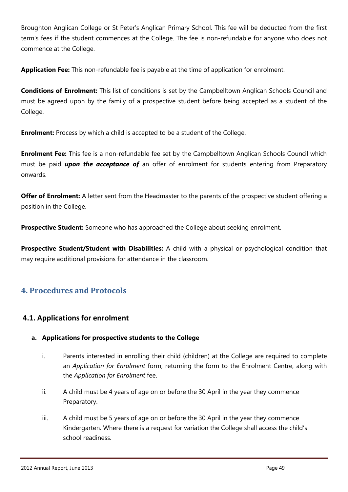Broughton Anglican College or St Peter's Anglican Primary School. This fee will be deducted from the first term's fees if the student commences at the College. The fee is non-refundable for anyone who does not commence at the College.

**Application Fee:** This non-refundable fee is payable at the time of application for enrolment.

**Conditions of Enrolment:** This list of conditions is set by the Campbelltown Anglican Schools Council and must be agreed upon by the family of a prospective student before being accepted as a student of the College.

**Enrolment:** Process by which a child is accepted to be a student of the College.

**Enrolment Fee:** This fee is a non-refundable fee set by the Campbelltown Anglican Schools Council which must be paid *upon the acceptance of* an offer of enrolment for students entering from Preparatory onwards.

**Offer of Enrolment:** A letter sent from the Headmaster to the parents of the prospective student offering a position in the College.

**Prospective Student:** Someone who has approached the College about seeking enrolment.

**Prospective Student/Student with Disabilities:** A child with a physical or psychological condition that may require additional provisions for attendance in the classroom.

# <span id="page-49-0"></span>**4. Procedures and Protocols**

# **4.1. Applications for enrolment**

## **a. Applications for prospective students to the College**

- i. Parents interested in enrolling their child (children) at the College are required to complete an *Application for Enrolment* form, returning the form to the Enrolment Centre, along with the *Application for Enrolment* fee.
- ii. A child must be 4 years of age on or before the 30 April in the year they commence Preparatory.
- iii. A child must be 5 years of age on or before the 30 April in the year they commence Kindergarten. Where there is a request for variation the College shall access the child's school readiness.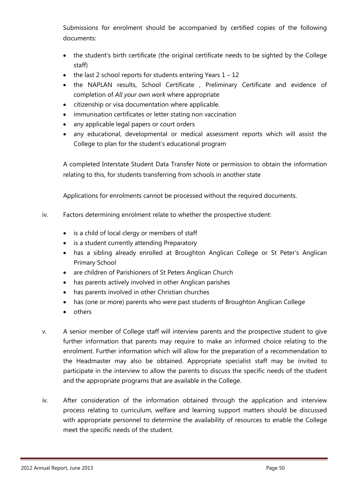Submissions for enrolment should be accompanied by certified copies of the following documents:

- the student's birth certificate (the original certificate needs to be sighted by the College staff)
- $\bullet$  the last 2 school reports for students entering Years  $1 12$
- the NAPLAN results, School Certificate , Preliminary Certificate and evidence of completion of *All your own work* where appropriate
- citizenship or visa documentation where applicable.
- immunisation certificates or letter stating non vaccination
- any applicable legal papers or court orders
- any educational, developmental or medical assessment reports which will assist the College to plan for the student's educational program

A completed Interstate Student Data Transfer Note or permission to obtain the information relating to this, for students transferring from schools in another state

Applications for enrolments cannot be processed without the required documents.

- iv. Factors determining enrolment relate to whether the prospective student:
	- is a child of local clergy or members of staff
	- is a student currently attending Preparatory
	- has a sibling already enrolled at Broughton Anglican College or St Peter's Anglican Primary School
	- are children of Parishioners of St Peters Anglican Church
	- has parents actively involved in other Anglican parishes
	- has parents involved in other Christian churches
	- has (one or more) parents who were past students of Broughton Anglican College
	- others
- v. A senior member of College staff will interview parents and the prospective student to give further information that parents may require to make an informed choice relating to the enrolment. Further information which will allow for the preparation of a recommendation to the Headmaster may also be obtained. Appropriate specialist staff may be invited to participate in the interview to allow the parents to discuss the specific needs of the student and the appropriate programs that are available in the College.
- iv. After consideration of the information obtained through the application and interview process relating to curriculum, welfare and learning support matters should be discussed with appropriate personnel to determine the availability of resources to enable the College meet the specific needs of the student.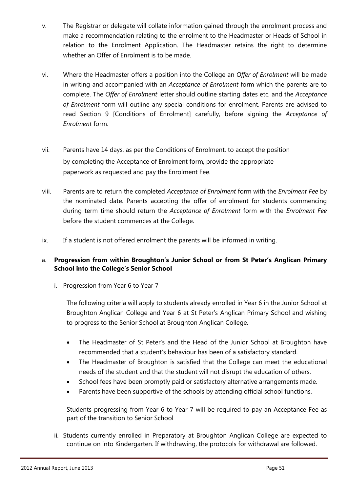- v. The Registrar or delegate will collate information gained through the enrolment process and make a recommendation relating to the enrolment to the Headmaster or Heads of School in relation to the Enrolment Application. The Headmaster retains the right to determine whether an Offer of Enrolment is to be made.
- vi. Where the Headmaster offers a position into the College an *Offer of Enrolment* will be made in writing and accompanied with an *Acceptance of Enrolment* form which the parents are to complete. The *Offer of Enrolment* letter should outline starting dates etc. and the *Acceptance of Enrolment* form will outline any special conditions for enrolment. Parents are advised to read Section 9 [Conditions of Enrolment] carefully, before signing the *Acceptance of Enrolment* form.
- vii. Parents have 14 days, as per the Conditions of Enrolment, to accept the position by completing the Acceptance of Enrolment form, provide the appropriate paperwork as requested and pay the Enrolment Fee.
- viii. Parents are to return the completed *Acceptance of Enrolment* form with the *Enrolment Fee* by the nominated date. Parents accepting the offer of enrolment for students commencing during term time should return the *Acceptance of Enrolment* form with the *Enrolment Fee* before the student commences at the College.
- ix. If a student is not offered enrolment the parents will be informed in writing.

#### a. **Progression from within Broughton's Junior School or from St Peter's Anglican Primary School into the College's Senior School**

i. Progression from Year 6 to Year 7

The following criteria will apply to students already enrolled in Year 6 in the Junior School at Broughton Anglican College and Year 6 at St Peter's Anglican Primary School and wishing to progress to the Senior School at Broughton Anglican College.

- The Headmaster of St Peter's and the Head of the Junior School at Broughton have recommended that a student's behaviour has been of a satisfactory standard.
- The Headmaster of Broughton is satisfied that the College can meet the educational needs of the student and that the student will not disrupt the education of others.
- School fees have been promptly paid or satisfactory alternative arrangements made.
- Parents have been supportive of the schools by attending official school functions.

Students progressing from Year 6 to Year 7 will be required to pay an Acceptance Fee as part of the transition to Senior School

ii. Students currently enrolled in Preparatory at Broughton Anglican College are expected to continue on into Kindergarten. If withdrawing, the protocols for withdrawal are followed.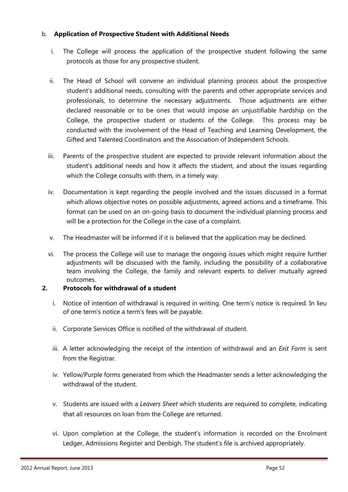#### b. **Application of Prospective Student with Additional Needs**

- i. The College will process the application of the prospective student following the same protocols as those for any prospective student.
- ii. The Head of School will convene an individual planning process about the prospective student's additional needs, consulting with the parents and other appropriate services and professionals, to determine the necessary adjustments. Those adjustments are either declared reasonable or to be ones that would impose an unjustifiable hardship on the College, the prospective student or students of the College. This process may be conducted with the involvement of the Head of Teaching and Learning Development, the Gifted and Talented Coordinators and the Association of Independent Schools.
- iii. Parents of the prospective student are expected to provide relevant information about the student's additional needs and how it affects the student, and about the issues regarding which the College consults with them, in a timely way.
- iv. Documentation is kept regarding the people involved and the issues discussed in a format which allows objective notes on possible adjustments, agreed actions and a timeframe. This format can be used on an on-going basis to document the individual planning process and will be a protection for the College in the case of a complaint.
- v. The Headmaster will be informed if it is believed that the application may be declined.
- vi. The process the College will use to manage the ongoing issues which might require further adjustments will be discussed with the family, including the possibility of a collaborative team involving the College, the family and relevant experts to deliver mutually agreed outcomes.

#### **2. Protocols for withdrawal of a student**

- i. Notice of intention of withdrawal is required in writing. One term's notice is required. In lieu of one term's notice a term's fees will be payable.
- ii. Corporate Services Office is notified of the withdrawal of student.
- iii. A letter acknowledging the receipt of the intention of withdrawal and an *Exit Form* is sent from the Registrar.
- iv. Yellow/Purple forms generated from which the Headmaster sends a letter acknowledging the withdrawal of the student.
- v. Students are issued with a *Leavers Sheet* which students are required to complete, indicating that all resources on loan from the College are returned.
- vi. Upon completion at the College, the student's information is recorded on the Enrolment Ledger, Admissions Register and Denbigh. The student's file is archived appropriately.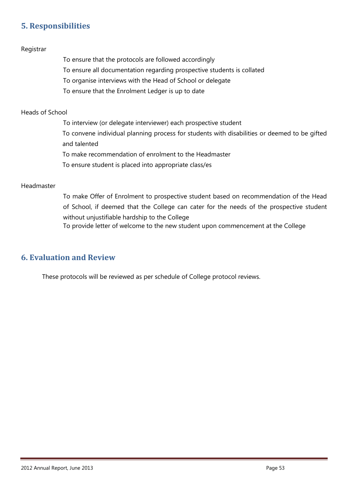# <span id="page-53-0"></span>**5. Responsibilities**

#### Registrar

To ensure that the protocols are followed accordingly

- To ensure all documentation regarding prospective students is collated
- To organise interviews with the Head of School or delegate
- To ensure that the Enrolment Ledger is up to date

#### Heads of School

To interview (or delegate interviewer) each prospective student To convene individual planning process for students with disabilities or deemed to be gifted and talented To make recommendation of enrolment to the Headmaster

To ensure student is placed into appropriate class/es

#### Headmaster

To make Offer of Enrolment to prospective student based on recommendation of the Head of School, if deemed that the College can cater for the needs of the prospective student without unjustifiable hardship to the College

To provide letter of welcome to the new student upon commencement at the College

## <span id="page-53-1"></span>**6. Evaluation and Review**

<span id="page-53-2"></span>These protocols will be reviewed as per schedule of College protocol reviews.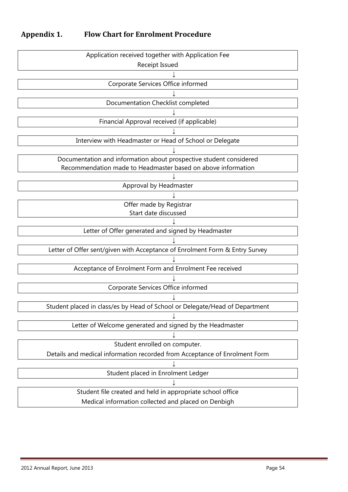# **Appendix 1. Flow Chart for Enrolment Procedure**

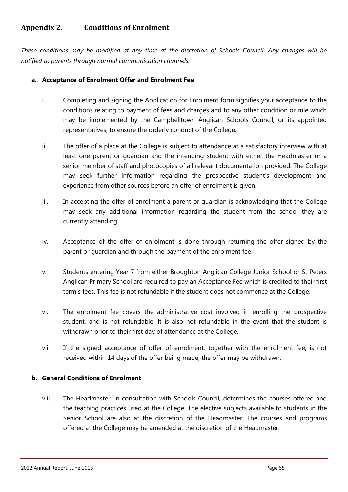# <span id="page-55-0"></span>**Appendix 2. Conditions of Enrolment**

*These conditions may be modified at any time at the discretion of Schools Council. Any changes will be notified to parents through normal communication channels.*

#### **a. Acceptance of Enrolment Offer and Enrolment Fee**

- i. Completing and signing the Application for Enrolment form signifies your acceptance to the conditions relating to payment of fees and charges and to any other condition or rule which may be implemented by the Campbelltown Anglican Schools Council, or its appointed representatives, to ensure the orderly conduct of the College.
- ii. The offer of a place at the College is subject to attendance at a satisfactory interview with at least one parent or guardian and the intending student with either the Headmaster or a senior member of staff and photocopies of all relevant documentation provided. The College may seek further information regarding the prospective student's development and experience from other sources before an offer of enrolment is given.
- iii. In accepting the offer of enrolment a parent or guardian is acknowledging that the College may seek any additional information regarding the student from the school they are currently attending.
- iv. Acceptance of the offer of enrolment is done through returning the offer signed by the parent or guardian and through the payment of the enrolment fee.
- v. Students entering Year 7 from either Broughton Anglican College Junior School or St Peters Anglican Primary School are required to pay an Acceptance Fee which is credited to their first term's fees. This fee is not refundable if the student does not commence at the College.
- vi. The enrolment fee covers the administrative cost involved in enrolling the prospective student, and is not refundable. It is also not refundable in the event that the student is withdrawn prior to their first day of attendance at the College.
- vii. If the signed acceptance of offer of enrolment, together with the enrolment fee, is not received within 14 days of the offer being made, the offer may be withdrawn.

#### **b. General Conditions of Enrolment**

viii. The Headmaster, in consultation with Schools Council, determines the courses offered and the teaching practices used at the College. The elective subjects available to students in the Senior School are also at the discretion of the Headmaster. The courses and programs offered at the College may be amended at the discretion of the Headmaster.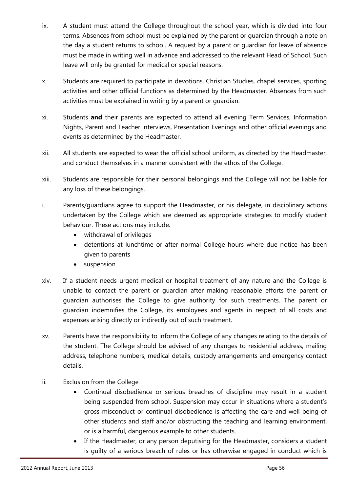- ix. A student must attend the College throughout the school year, which is divided into four terms. Absences from school must be explained by the parent or guardian through a note on the day a student returns to school. A request by a parent or guardian for leave of absence must be made in writing well in advance and addressed to the relevant Head of School. Such leave will only be granted for medical or special reasons.
- x. Students are required to participate in devotions, Christian Studies, chapel services, sporting activities and other official functions as determined by the Headmaster. Absences from such activities must be explained in writing by a parent or guardian.
- xi. Students **and** their parents are expected to attend all evening Term Services, Information Nights, Parent and Teacher interviews, Presentation Evenings and other official evenings and events as determined by the Headmaster.
- xii. All students are expected to wear the official school uniform, as directed by the Headmaster, and conduct themselves in a manner consistent with the ethos of the College.
- xiii. Students are responsible for their personal belongings and the College will not be liable for any loss of these belongings.
- i. Parents/guardians agree to support the Headmaster, or his delegate, in disciplinary actions undertaken by the College which are deemed as appropriate strategies to modify student behaviour. These actions may include:
	- withdrawal of privileges
	- detentions at lunchtime or after normal College hours where due notice has been given to parents
	- suspension
- xiv. If a student needs urgent medical or hospital treatment of any nature and the College is unable to contact the parent or guardian after making reasonable efforts the parent or guardian authorises the College to give authority for such treatments. The parent or guardian indemnifies the College, its employees and agents in respect of all costs and expenses arising directly or indirectly out of such treatment.
- xv. Parents have the responsibility to inform the College of any changes relating to the details of the student. The College should be advised of any changes to residential address, mailing address, telephone numbers, medical details, custody arrangements and emergency contact details.
- ii. Exclusion from the College
	- Continual disobedience or serious breaches of discipline may result in a student being suspended from school. Suspension may occur in situations where a student's gross misconduct or continual disobedience is affecting the care and well being of other students and staff and/or obstructing the teaching and learning environment, or is a harmful, dangerous example to other students.
	- If the Headmaster, or any person deputising for the Headmaster, considers a student is guilty of a serious breach of rules or has otherwise engaged in conduct which is